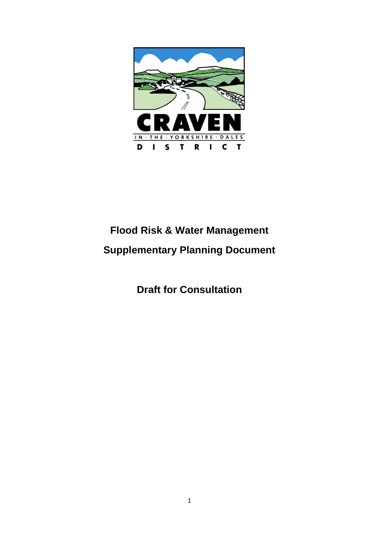

# **Flood Risk & Water Management Supplementary Planning Document**

**Draft for Consultation**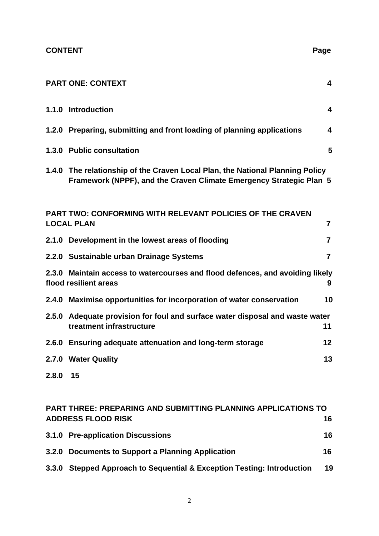|       | <b>PART ONE: CONTEXT</b>                                                                                                                             | $\overline{\mathbf{4}}$ |
|-------|------------------------------------------------------------------------------------------------------------------------------------------------------|-------------------------|
|       | 1.1.0 Introduction                                                                                                                                   | $\overline{\mathbf{4}}$ |
|       | 1.2.0 Preparing, submitting and front loading of planning applications                                                                               | 4                       |
|       | 1.3.0 Public consultation                                                                                                                            | 5                       |
|       | 1.4.0 The relationship of the Craven Local Plan, the National Planning Policy<br>Framework (NPPF), and the Craven Climate Emergency Strategic Plan 5 |                         |
|       | <b>PART TWO: CONFORMING WITH RELEVANT POLICIES OF THE CRAVEN</b><br><b>LOCAL PLAN</b>                                                                | $\overline{7}$          |
|       | 2.1.0 Development in the lowest areas of flooding                                                                                                    | $\overline{7}$          |
|       | 2.2.0 Sustainable urban Drainage Systems                                                                                                             | $\overline{7}$          |
|       | 2.3.0 Maintain access to watercourses and flood defences, and avoiding likely<br>flood resilient areas                                               | 9                       |
|       | 2.4.0 Maximise opportunities for incorporation of water conservation                                                                                 | 10                      |
|       | 2.5.0 Adequate provision for foul and surface water disposal and waste water<br>treatment infrastructure                                             | 11                      |
|       | 2.6.0 Ensuring adequate attenuation and long-term storage                                                                                            | $12 \,$                 |
|       | 2.7.0 Water Quality                                                                                                                                  | 13                      |
| 2.8.0 | 15                                                                                                                                                   |                         |
|       | <b>PART THREE: PREPARING AND SUBMITTING PLANNING APPLICATIONS TO</b>                                                                                 |                         |
|       | <b>ADDRESS FLOOD RISK</b>                                                                                                                            | 16                      |

| 3.1.0 Pre-application Discussions                 | 16 |
|---------------------------------------------------|----|
| 3.2.0 Documents to Support a Planning Application | 16 |

**3.3.0 Stepped Approach to Sequential & Exception Testing: Introduction 19**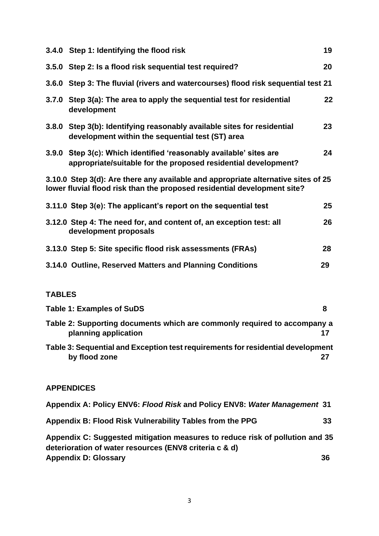| 3.4.0 Step 1: Identifying the flood risk                                                                                                                      | 19                |
|---------------------------------------------------------------------------------------------------------------------------------------------------------------|-------------------|
| 3.5.0 Step 2: Is a flood risk sequential test required?                                                                                                       | 20                |
| 3.6.0 Step 3: The fluvial (rivers and watercourses) flood risk sequential test 21                                                                             |                   |
| 3.7.0 Step 3(a): The area to apply the sequential test for residential<br>development                                                                         | $22 \overline{ }$ |
| 3.8.0 Step 3(b): Identifying reasonably available sites for residential<br>development within the sequential test (ST) area                                   | 23                |
| 3.9.0 Step 3(c): Which identified 'reasonably available' sites are<br>appropriate/suitable for the proposed residential development?                          | 24                |
| 3.10.0 Step 3(d): Are there any available and appropriate alternative sites of 25<br>lower fluvial flood risk than the proposed residential development site? |                   |
| 3.11.0 Step 3(e): The applicant's report on the sequential test                                                                                               | 25                |
| 3.12.0 Step 4: The need for, and content of, an exception test: all<br>development proposals                                                                  | 26                |
| 3.13.0 Step 5: Site specific flood risk assessments (FRAs)                                                                                                    | 28                |
| 3.14.0 Outline, Reserved Matters and Planning Conditions                                                                                                      | 29                |

## **TABLES**

| <b>Table 1: Examples of SuDS</b>                                                                                                       | 8  |
|----------------------------------------------------------------------------------------------------------------------------------------|----|
| Table 2: Supporting documents which are commonly required to accompany a<br>planning application                                       | 17 |
| Table 3: Sequential and Exception test requirements for residential development<br>by flood zone                                       | 27 |
| <b>APPENDICES</b>                                                                                                                      |    |
| Appendix A: Policy ENV6: Flood Risk and Policy ENV8: Water Management 31                                                               |    |
| Appendix B: Flood Risk Vulnerability Tables from the PPG                                                                               | 33 |
| Appendix C: Suggested mitigation measures to reduce risk of pollution and 35<br>deterioration of water resources (ENV8 criteria c & d) |    |

**Appendix D: Glossary 36**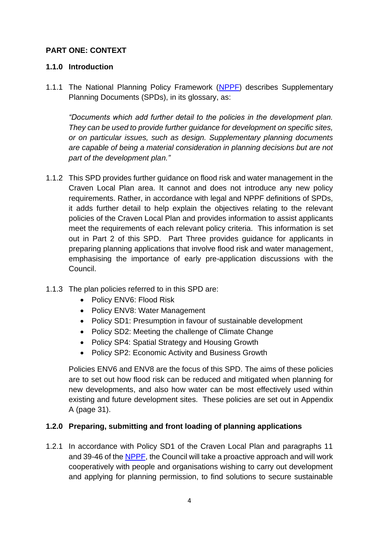#### **PART ONE: CONTEXT**

#### **1.1.0 Introduction**

1.1.1 The National Planning Policy Framework [\(NPPF\)](https://www.gov.uk/government/publications/national-planning-policy-framework--2) describes Supplementary Planning Documents (SPDs), in its glossary, as:

*"Documents which add further detail to the policies in the development plan. They can be used to provide further guidance for development on specific sites, or on particular issues, such as design. Supplementary planning documents are capable of being a material consideration in planning decisions but are not part of the development plan."*

- 1.1.2 This SPD provides further guidance on flood risk and water management in the Craven Local Plan area. It cannot and does not introduce any new policy requirements. Rather, in accordance with legal and NPPF definitions of SPDs, it adds further detail to help explain the objectives relating to the relevant policies of the Craven Local Plan and provides information to assist applicants meet the requirements of each relevant policy criteria. This information is set out in Part 2 of this SPD. Part Three provides guidance for applicants in preparing planning applications that involve flood risk and water management, emphasising the importance of early pre-application discussions with the Council.
- 1.1.3 The plan policies referred to in this SPD are:
	- Policy ENV6: Flood Risk
	- Policy ENV8: Water Management
	- Policy SD1: Presumption in favour of sustainable development
	- Policy SD2: Meeting the challenge of Climate Change
	- Policy SP4: Spatial Strategy and Housing Growth
	- Policy SP2: Economic Activity and Business Growth

Policies ENV6 and ENV8 are the focus of this SPD. The aims of these policies are to set out how flood risk can be reduced and mitigated when planning for new developments, and also how water can be most effectively used within existing and future development sites. These policies are set out in Appendix A (page 31).

#### **1.2.0 Preparing, submitting and front loading of planning applications**

1.2.1 In accordance with Policy SD1 of the Craven Local Plan and paragraphs 11 and 39-46 of the [NPPF,](https://www.gov.uk/government/publications/national-planning-policy-framework--2) the Council will take a proactive approach and will work cooperatively with people and organisations wishing to carry out development and applying for planning permission, to find solutions to secure sustainable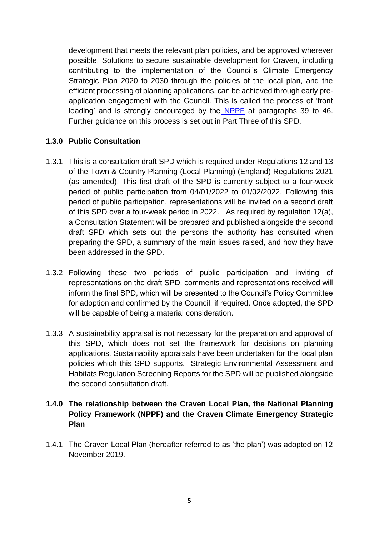development that meets the relevant plan policies, and be approved wherever possible. Solutions to secure sustainable development for Craven, including contributing to the implementation of the Council's Climate Emergency Strategic Plan 2020 to 2030 through the policies of the local plan, and the efficient processing of planning applications, can be achieved through early preapplication engagement with the Council. This is called the process of 'front loading' and is strongly encouraged by the [NPPF](https://www.gov.uk/government/publications/national-planning-policy-framework--2) at paragraphs 39 to 46. Further guidance on this process is set out in Part Three of this SPD.

#### **1.3.0 Public Consultation**

- 1.3.1 This is a consultation draft SPD which is required under Regulations 12 and 13 of the Town & Country Planning (Local Planning) (England) Regulations 2021 (as amended). This first draft of the SPD is currently subject to a four-week period of public participation from 04/01/2022 to 01/02/2022. Following this period of public participation, representations will be invited on a second draft of this SPD over a four-week period in 2022. As required by regulation 12(a), a Consultation Statement will be prepared and published alongside the second draft SPD which sets out the persons the authority has consulted when preparing the SPD, a summary of the main issues raised, and how they have been addressed in the SPD.
- 1.3.2 Following these two periods of public participation and inviting of representations on the draft SPD, comments and representations received will inform the final SPD, which will be presented to the Council's Policy Committee for adoption and confirmed by the Council, if required. Once adopted, the SPD will be capable of being a material consideration.
- 1.3.3 A sustainability appraisal is not necessary for the preparation and approval of this SPD, which does not set the framework for decisions on planning applications. Sustainability appraisals have been undertaken for the local plan policies which this SPD supports. Strategic Environmental Assessment and Habitats Regulation Screening Reports for the SPD will be published alongside the second consultation draft.

#### **1.4.0 The relationship between the Craven Local Plan, the National Planning Policy Framework (NPPF) and the Craven Climate Emergency Strategic Plan**

1.4.1 The Craven Local Plan (hereafter referred to as 'the plan') was adopted on 12 November 2019.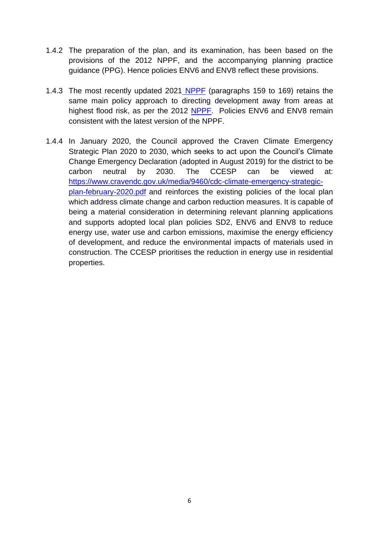- 1.4.2 The preparation of the plan, and its examination, has been based on the provisions of the 2012 NPPF, and the accompanying planning practice guidance (PPG). Hence policies ENV6 and ENV8 reflect these provisions.
- 1.4.3 The most recently updated 2021 [NPPF](https://www.gov.uk/government/publications/national-planning-policy-framework--2) (paragraphs 159 to 169) retains the same main policy approach to directing development away from areas at highest flood risk, as per the 2012 [NPPF.](https://www.gov.uk/government/publications/national-planning-policy-framework--2) Policies ENV6 and ENV8 remain consistent with the latest version of the NPPF.
- 1.4.4 In January 2020, the Council approved the Craven Climate Emergency Strategic Plan 2020 to 2030, which seeks to act upon the Council's Climate Change Emergency Declaration (adopted in August 2019) for the district to be carbon neutral by 2030. The CCESP can be viewed at: [https://www.cravendc.gov.uk/media/9460/cdc-climate-emergency-strategic](https://www.cravendc.gov.uk/media/9460/cdc-climate-emergency-strategic-plan-february-2020.pdf)[plan-february-2020.pdf](https://www.cravendc.gov.uk/media/9460/cdc-climate-emergency-strategic-plan-february-2020.pdf) and reinforces the existing policies of the local plan which address climate change and carbon reduction measures. It is capable of being a material consideration in determining relevant planning applications and supports adopted local plan policies SD2, ENV6 and ENV8 to reduce energy use, water use and carbon emissions, maximise the energy efficiency of development, and reduce the environmental impacts of materials used in construction. The CCESP prioritises the reduction in energy use in residential properties.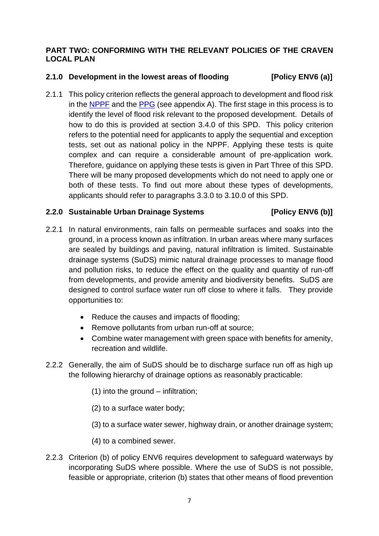#### **PART TWO: CONFORMING WITH THE RELEVANT POLICIES OF THE CRAVEN LOCAL PLAN**

#### **2.1.0 Development in the lowest areas of flooding [Policy ENV6 (a)]**

2.1.1 This policy criterion reflects the general approach to development and flood risk in the [NPPF](https://www.gov.uk/government/publications/national-planning-policy-framework--2) and the [PPG](https://www.gov.uk/guidance/flood-risk-and-coastal-change) (see appendix A). The first stage in this process is to identify the level of flood risk relevant to the proposed development. Details of how to do this is provided at section 3.4.0 of this SPD. This policy criterion refers to the potential need for applicants to apply the sequential and exception tests, set out as national policy in the NPPF. Applying these tests is quite complex and can require a considerable amount of pre-application work. Therefore, guidance on applying these tests is given in Part Three of this SPD. There will be many proposed developments which do not need to apply one or both of these tests. To find out more about these types of developments, applicants should refer to paragraphs 3.3.0 to 3.10.0 of this SPD.

#### **2.2.0 Sustainable Urban Drainage Systems [Policy ENV6 (b)]**

- 2.2.1 In natural environments, rain falls on permeable surfaces and soaks into the ground, in a process known as infiltration. In urban areas where many surfaces are sealed by buildings and paving, natural infiltration is limited. Sustainable drainage systems (SuDS) mimic natural drainage processes to manage flood and pollution risks, to reduce the effect on the quality and quantity of run-off from developments, and provide amenity and biodiversity benefits. SuDS are designed to control surface water run off close to where it falls. They provide opportunities to:
	- Reduce the causes and impacts of flooding;
	- Remove pollutants from urban run-off at source;
	- Combine water management with green space with benefits for amenity, recreation and wildlife.
- 2.2.2 Generally, the aim of SuDS should be to discharge surface run off as high up the following hierarchy of drainage options as reasonably practicable:
	- (1) into the ground infiltration;
	- (2) to a surface water body;
	- (3) to a surface water sewer, highway drain, or another drainage system;
	- (4) to a combined sewer.
- 2.2.3 Criterion (b) of policy ENV6 requires development to safeguard waterways by incorporating SuDS where possible. Where the use of SuDS is not possible, feasible or appropriate, criterion (b) states that other means of flood prevention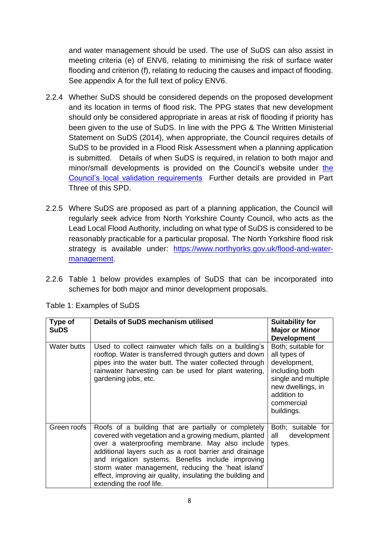and water management should be used. The use of SuDS can also assist in meeting criteria (e) of ENV6, relating to minimising the risk of surface water flooding and criterion (f), relating to reducing the causes and impact of flooding. See appendix A for the full text of policy ENV6.

- 2.2.4 Whether SuDS should be considered depends on the proposed development and its location in terms of flood risk. The PPG states that new development should only be considered appropriate in areas at risk of flooding if priority has been given to the use of SuDS. In line with the PPG & The Written Ministerial Statement on SuDS (2014), when appropriate, the Council requires details of SuDS to be provided in a Flood Risk Assessment when a planning application is submitted. Details of when SuDS is required, in relation to both major and minor/small developments is provided on the Council's website under [the](https://www.cravendc.gov.uk/planning/planning-applications-and-notifications/national-and-local-planning-validation-requirements/local-information-requirements/)  [Council's local validation requirements](https://www.cravendc.gov.uk/planning/planning-applications-and-notifications/national-and-local-planning-validation-requirements/local-information-requirements/) Further details are provided in Part Three of this SPD.
- 2.2.5 Where SuDS are proposed as part of a planning application, the Council will regularly seek advice from North Yorkshire County Council, who acts as the Lead Local Flood Authority, including on what type of SuDS is considered to be reasonably practicable for a particular proposal. The North Yorkshire flood risk strategy is available under: [https://www.northyorks.gov.uk/flood-and-water](https://www.northyorks.gov.uk/flood-and-water-management)[management.](https://www.northyorks.gov.uk/flood-and-water-management)
- 2.2.6 Table 1 below provides examples of SuDS that can be incorporated into schemes for both major and minor development proposals.

| Type of<br><b>SuDS</b> | <b>Details of SuDS mechanism utilised</b>                                                                                                                                                                                                                                                                                                                                                                                       | <b>Suitability for</b><br><b>Major or Minor</b><br><b>Development</b>                                                                                       |
|------------------------|---------------------------------------------------------------------------------------------------------------------------------------------------------------------------------------------------------------------------------------------------------------------------------------------------------------------------------------------------------------------------------------------------------------------------------|-------------------------------------------------------------------------------------------------------------------------------------------------------------|
| Water butts            | Used to collect rainwater which falls on a building's<br>rooftop. Water is transferred through gutters and down<br>pipes into the water butt. The water collected through<br>rainwater harvesting can be used for plant watering,<br>gardening jobs, etc.                                                                                                                                                                       | Both; suitable for<br>all types of<br>development,<br>including both<br>single and multiple<br>new dwellings, in<br>addition to<br>commercial<br>buildings. |
| Green roofs            | Roofs of a building that are partially or completely<br>covered with vegetation and a growing medium, planted<br>over a waterproofing membrane. May also include<br>additional layers such as a root barrier and drainage<br>and irrigation systems. Benefits include improving<br>storm water management, reducing the 'heat island'<br>effect, improving air quality, insulating the building and<br>extending the roof life. | Both; suitable for<br>development<br>all<br>types.                                                                                                          |

Table 1: Examples of SuDS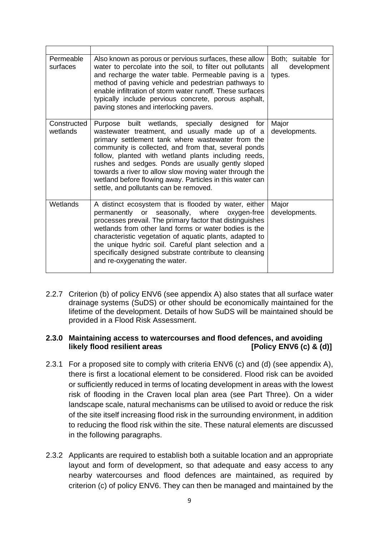| Permeable<br>surfaces   | Also known as porous or pervious surfaces, these allow<br>water to percolate into the soil, to filter out pollutants<br>and recharge the water table. Permeable paving is a<br>method of paving vehicle and pedestrian pathways to<br>enable infiltration of storm water runoff. These surfaces<br>typically include pervious concrete, porous asphalt,<br>paving stones and interlocking pavers.                                                                                              | Both; suitable for<br>development<br>all<br>types. |
|-------------------------|------------------------------------------------------------------------------------------------------------------------------------------------------------------------------------------------------------------------------------------------------------------------------------------------------------------------------------------------------------------------------------------------------------------------------------------------------------------------------------------------|----------------------------------------------------|
| Constructed<br>wetlands | Purpose built wetlands, specially designed<br>for<br>wastewater treatment, and usually made up of a<br>primary settlement tank where wastewater from the<br>community is collected, and from that, several ponds<br>follow, planted with wetland plants including reeds,<br>rushes and sedges. Ponds are usually gently sloped<br>towards a river to allow slow moving water through the<br>wetland before flowing away. Particles in this water can<br>settle, and pollutants can be removed. | Major<br>developments.                             |
| Wetlands                | A distinct ecosystem that is flooded by water, either<br>permanently or<br>seasonally, where<br>oxygen-free<br>processes prevail. The primary factor that distinguishes<br>wetlands from other land forms or water bodies is the<br>characteristic vegetation of aquatic plants, adapted to<br>the unique hydric soil. Careful plant selection and a<br>specifically designed substrate contribute to cleansing<br>and re-oxygenating the water.                                               | Major<br>developments.                             |

2.2.7 Criterion (b) of policy ENV6 (see appendix A) also states that all surface water drainage systems (SuDS) or other should be economically maintained for the lifetime of the development. Details of how SuDS will be maintained should be provided in a Flood Risk Assessment.

#### **2.3.0 Maintaining access to watercourses and flood defences, and avoiding likely flood resilient areas [Policy ENV6 (c) & (d)]**

- 2.3.1 For a proposed site to comply with criteria ENV6 (c) and (d) (see appendix A), there is first a locational element to be considered. Flood risk can be avoided or sufficiently reduced in terms of locating development in areas with the lowest risk of flooding in the Craven local plan area (see Part Three). On a wider landscape scale, natural mechanisms can be utilised to avoid or reduce the risk of the site itself increasing flood risk in the surrounding environment, in addition to reducing the flood risk within the site. These natural elements are discussed in the following paragraphs.
- 2.3.2 Applicants are required to establish both a suitable location and an appropriate layout and form of development, so that adequate and easy access to any nearby watercourses and flood defences are maintained, as required by criterion (c) of policy ENV6. They can then be managed and maintained by the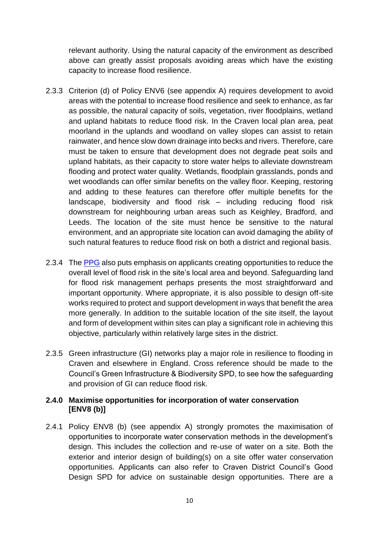relevant authority. Using the natural capacity of the environment as described above can greatly assist proposals avoiding areas which have the existing capacity to increase flood resilience.

- 2.3.3 Criterion (d) of Policy ENV6 (see appendix A) requires development to avoid areas with the potential to increase flood resilience and seek to enhance, as far as possible, the natural capacity of soils, vegetation, river floodplains, wetland and upland habitats to reduce flood risk. In the Craven local plan area, peat moorland in the uplands and woodland on valley slopes can assist to retain rainwater, and hence slow down drainage into becks and rivers. Therefore, care must be taken to ensure that development does not degrade peat soils and upland habitats, as their capacity to store water helps to alleviate downstream flooding and protect water quality. Wetlands, floodplain grasslands, ponds and wet woodlands can offer similar benefits on the valley floor. Keeping, restoring and adding to these features can therefore offer multiple benefits for the landscape, biodiversity and flood risk – including reducing flood risk downstream for neighbouring urban areas such as Keighley, Bradford, and Leeds. The location of the site must hence be sensitive to the natural environment, and an appropriate site location can avoid damaging the ability of such natural features to reduce flood risk on both a district and regional basis.
- 2.3.4 The [PPG](https://www.gov.uk/guidance/flood-risk-and-coastal-change) also puts emphasis on applicants creating opportunities to reduce the overall level of flood risk in the site's local area and beyond. Safeguarding land for flood risk management perhaps presents the most straightforward and important opportunity. Where appropriate, it is also possible to design off-site works required to protect and support development in ways that benefit the area more generally. In addition to the suitable location of the site itself, the layout and form of development within sites can play a significant role in achieving this objective, particularly within relatively large sites in the district.
- 2.3.5 Green infrastructure (GI) networks play a major role in resilience to flooding in Craven and elsewhere in England. Cross reference should be made to the Council's Green Infrastructure & Biodiversity SPD, to see how the safeguarding and provision of GI can reduce flood risk.

#### **2.4.0 Maximise opportunities for incorporation of water conservation [ENV8 (b)]**

2.4.1 Policy ENV8 (b) (see appendix A) strongly promotes the maximisation of opportunities to incorporate water conservation methods in the development's design. This includes the collection and re-use of water on a site. Both the exterior and interior design of building(s) on a site offer water conservation opportunities. Applicants can also refer to Craven District Council's Good Design SPD for advice on sustainable design opportunities. There are a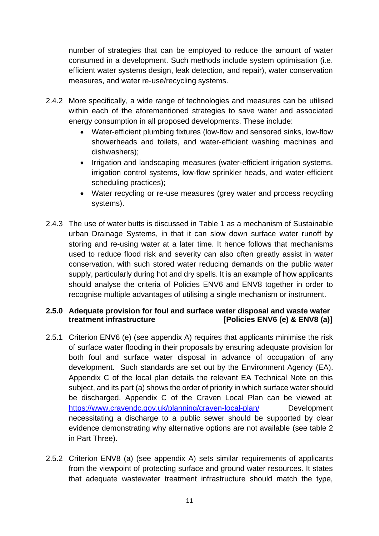number of strategies that can be employed to reduce the amount of water consumed in a development. Such methods include system optimisation (i.e. efficient water systems design, leak detection, and repair), water conservation measures, and water re-use/recycling systems.

- 2.4.2 More specifically, a wide range of technologies and measures can be utilised within each of the aforementioned strategies to save water and associated energy consumption in all proposed developments. These include:
	- Water-efficient plumbing fixtures (low-flow and sensored sinks, low-flow showerheads and toilets, and water-efficient washing machines and dishwashers);
	- Irrigation and landscaping measures (water-efficient irrigation systems, irrigation control systems, low-flow sprinkler heads, and water-efficient scheduling practices);
	- Water recycling or re-use measures (grey water and process recycling systems).
- 2.4.3 The use of water butts is discussed in Table 1 as a mechanism of Sustainable urban Drainage Systems, in that it can slow down surface water runoff by storing and re-using water at a later time. It hence follows that mechanisms used to reduce flood risk and severity can also often greatly assist in water conservation, with such stored water reducing demands on the public water supply, particularly during hot and dry spells. It is an example of how applicants should analyse the criteria of Policies ENV6 and ENV8 together in order to recognise multiple advantages of utilising a single mechanism or instrument.

#### **2.5.0 Adequate provision for foul and surface water disposal and waste water treatment infrastructure [Policies ENV6 (e) & ENV8 (a)]**

- 2.5.1 Criterion ENV6 (e) (see appendix A) requires that applicants minimise the risk of surface water flooding in their proposals by ensuring adequate provision for both foul and surface water disposal in advance of occupation of any development. Such standards are set out by the Environment Agency (EA). Appendix C of the local plan details the relevant EA Technical Note on this subject, and its part (a) shows the order of priority in which surface water should be discharged. Appendix C of the Craven Local Plan can be viewed at: <https://www.cravendc.gov.uk/planning/craven-local-plan/> Development necessitating a discharge to a public sewer should be supported by clear evidence demonstrating why alternative options are not available (see table 2 in Part Three).
- 2.5.2 Criterion ENV8 (a) (see appendix A) sets similar requirements of applicants from the viewpoint of protecting surface and ground water resources. It states that adequate wastewater treatment infrastructure should match the type,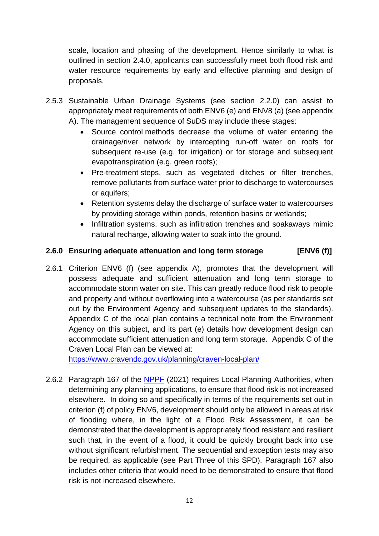scale, location and phasing of the development. Hence similarly to what is outlined in section 2.4.0, applicants can successfully meet both flood risk and water resource requirements by early and effective planning and design of proposals.

- 2.5.3 Sustainable Urban Drainage Systems (see section 2.2.0) can assist to appropriately meet requirements of both ENV6 (e) and ENV8 (a) (see appendix A). The management sequence of SuDS may include these stages:
	- Source control methods decrease the volume of water entering the drainage/river network by intercepting run-off water on roofs for subsequent re-use (e.g. for irrigation) or for storage and subsequent evapotranspiration (e.g. green roofs);
	- Pre-treatment steps, such as vegetated ditches or filter trenches, remove pollutants from surface water prior to discharge to watercourses or aquifers;
	- Retention systems delay the discharge of surface water to watercourses by providing storage within ponds, [retention basins](http://en.wikipedia.org/wiki/Retention_basin) or wetlands;
	- Infiltration systems, such as [infiltration trenches](http://en.wikipedia.org/wiki/Infiltration_trench) and soakaways mimic natural recharge, allowing water to soak into the ground.

### **2.6.0 Ensuring adequate attenuation and long term storage [ENV6 (f)]**

2.6.1 Criterion ENV6 (f) (see appendix A), promotes that the development will possess adequate and sufficient attenuation and long term storage to accommodate storm water on site. This can greatly reduce flood risk to people and property and without overflowing into a watercourse (as per standards set out by the Environment Agency and subsequent updates to the standards). Appendix C of the local plan contains a technical note from the Environment Agency on this subject, and its part (e) details how development design can accommodate sufficient attenuation and long term storage. Appendix C of the Craven Local Plan can be viewed at:

<https://www.cravendc.gov.uk/planning/craven-local-plan/>

2.6.2 Paragraph 167 of the [NPPF](https://www.gov.uk/government/publications/national-planning-policy-framework--2) (2021) requires Local Planning Authorities, when determining any planning applications, to ensure that flood risk is not increased elsewhere. In doing so and specifically in terms of the requirements set out in criterion (f) of policy ENV6, development should only be allowed in areas at risk of flooding where, in the light of a Flood Risk Assessment, it can be demonstrated that the development is appropriately flood resistant and resilient such that, in the event of a flood, it could be quickly brought back into use without significant refurbishment. The sequential and exception tests may also be required, as applicable (see Part Three of this SPD). Paragraph 167 also includes other criteria that would need to be demonstrated to ensure that flood risk is not increased elsewhere.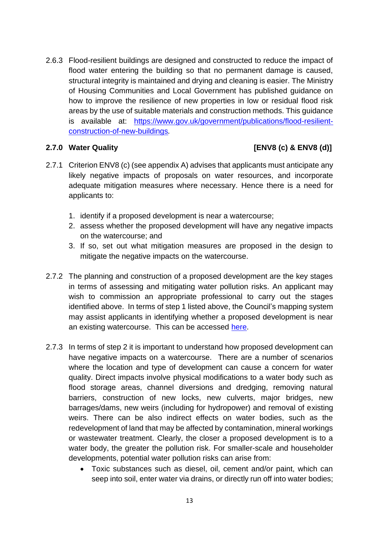2.6.3 Flood-resilient buildings are designed and constructed to reduce the impact of flood water entering the building so that no permanent damage is caused, structural integrity is maintained and drying and cleaning is easier. The Ministry of Housing Communities and Local Government has published guidance on how to improve the resilience of new properties in low or residual flood risk areas by the use of suitable materials and construction methods. This guidance is available at: [https://www.gov.uk/government/publications/flood-resilient](https://www.gov.uk/government/publications/flood-resilient-construction-of-new-buildings)[construction-of-new-buildings](https://www.gov.uk/government/publications/flood-resilient-construction-of-new-buildings)*.*

### **2.7.0 Water Quality [ENV8 (c) & ENV8 (d)]**

- 2.7.1 Criterion ENV8 (c) (see appendix A) advises that applicants must anticipate any likely negative impacts of proposals on water resources, and incorporate adequate mitigation measures where necessary. Hence there is a need for applicants to:
	- 1. identify if a proposed development is near a watercourse;
	- 2. assess whether the proposed development will have any negative impacts on the watercourse; and
	- 3. If so, set out what mitigation measures are proposed in the design to mitigate the negative impacts on the watercourse.
- 2.7.2 The planning and construction of a proposed development are the key stages in terms of assessing and mitigating water pollution risks. An applicant may wish to commission an appropriate professional to carry out the stages identified above. In terms of step 1 listed above, the Council's mapping system may assist applicants in identifying whether a proposed development is near an existing watercourse. This can be accessed [here.](https://cravendc.maps.arcgis.com/apps/webappviewer/index.html?id=fadcb5c4a9994ab8929a03a2c649f694)
- 2.7.3 In terms of step 2 it is important to understand how proposed development can have negative impacts on a watercourse. There are a number of scenarios where the location and type of development can cause a concern for water quality. Direct impacts involve physical modifications to a water body such as flood storage areas, channel diversions and dredging, removing natural barriers, construction of new locks, new culverts, major bridges, new barrages/dams, new weirs (including for hydropower) and removal of existing weirs. There can be also indirect effects on water bodies, such as the redevelopment of land that may be affected by contamination, mineral workings or wastewater treatment. Clearly, the closer a proposed development is to a water body, the greater the pollution risk. For smaller-scale and householder developments, potential water pollution risks can arise from:
	- Toxic substances such as diesel, oil, cement and/or paint, which can seep into soil, enter water via drains, or directly run off into water bodies;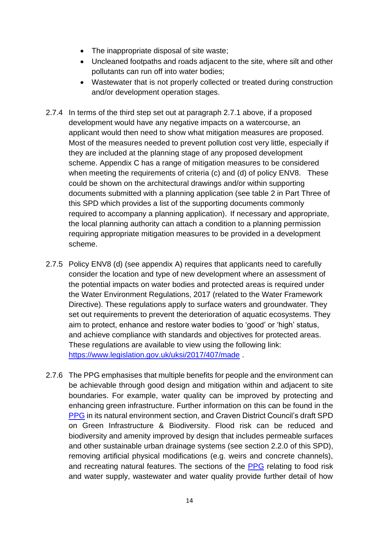- The inappropriate disposal of site waste;
- Uncleaned footpaths and roads adjacent to the site, where silt and other pollutants can run off into water bodies;
- Wastewater that is not properly collected or treated during construction and/or development operation stages.
- 2.7.4 In terms of the third step set out at paragraph 2.7.1 above, if a proposed development would have any negative impacts on a watercourse, an applicant would then need to show what mitigation measures are proposed. Most of the measures needed to prevent pollution cost very little, especially if they are included at the planning stage of any proposed development scheme. Appendix C has a range of mitigation measures to be considered when meeting the requirements of criteria (c) and (d) of policy ENV8. These could be shown on the architectural drawings and/or within supporting documents submitted with a planning application (see table 2 in Part Three of this SPD which provides a list of the supporting documents commonly required to accompany a planning application). If necessary and appropriate, the local planning authority can attach a condition to a planning permission requiring appropriate mitigation measures to be provided in a development scheme.
- 2.7.5 Policy ENV8 (d) (see appendix A) requires that applicants need to carefully consider the location and type of new development where an assessment of the potential impacts on water bodies and protected areas is required under the Water Environment Regulations, 2017 (related to the Water Framework Directive). These regulations apply to surface waters and groundwater. They set out requirements to prevent the deterioration of aquatic ecosystems. They aim to protect, enhance and restore water bodies to 'good' or 'high' status, and achieve compliance with standards and objectives for protected areas. These regulations are available to view using the following link: <https://www.legislation.gov.uk/uksi/2017/407/made> .
- 2.7.6 The PPG emphasises that multiple benefits for people and the environment can be achievable through good design and mitigation within and adjacent to site boundaries. For example, water quality can be improved by protecting and enhancing green infrastructure. Further information on this can be found in the [PPG](https://www.gov.uk/guidance/natural-environment) in its natural environment section, and Craven District Council's draft SPD on Green Infrastructure & Biodiversity. Flood risk can be reduced and biodiversity and amenity improved by design that includes permeable surfaces and other sustainable urban drainage systems (see section 2.2.0 of this SPD), removing artificial physical modifications (e.g. weirs and concrete channels), and recreating natural features. The sections of the [PPG](https://www.gov.uk/guidance/flood-risk-and-coastal-change) relating to food risk and water supply, wastewater and water quality provide further detail of how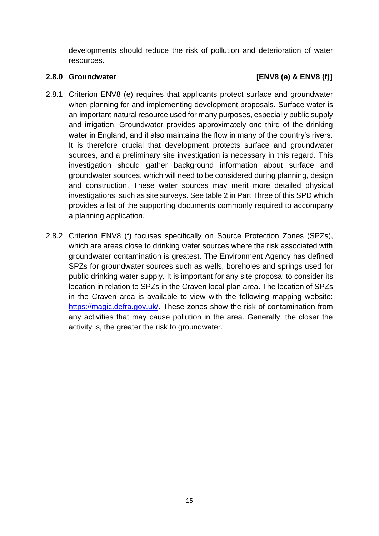developments should reduce the risk of pollution and deterioration of water resources.

### **2.8.0 Groundwater [ENV8 (e) & ENV8 (f)]**

- 2.8.1 Criterion ENV8 (e) requires that applicants protect surface and groundwater when planning for and implementing development proposals. Surface water is an important natural resource used for many purposes, especially public supply and irrigation. Groundwater provides approximately one third of the drinking water in England, and it also maintains the flow in many of the country's rivers. It is therefore crucial that development protects surface and groundwater sources, and a preliminary site investigation is necessary in this regard. This investigation should gather background information about surface and groundwater sources, which will need to be considered during planning, design and construction. These water sources may merit more detailed physical investigations, such as site surveys. See table 2 in Part Three of this SPD which provides a list of the supporting documents commonly required to accompany a planning application.
- 2.8.2 Criterion ENV8 (f) focuses specifically on Source Protection Zones (SPZs), which are areas close to drinking water sources where the risk associated with groundwater contamination is greatest. The Environment Agency has defined SPZs for groundwater sources such as wells, boreholes and springs used for public drinking water supply. It is important for any site proposal to consider its location in relation to SPZs in the Craven local plan area. The location of SPZs in the Craven area is available to view with the following mapping website: [https://magic.defra.gov.uk/.](https://magic.defra.gov.uk/) These zones show the risk of contamination from any activities that may cause pollution in the area. Generally, the closer the activity is, the greater the risk to groundwater.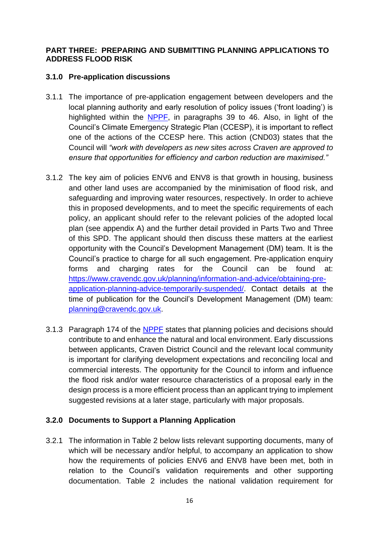#### **PART THREE: PREPARING AND SUBMITTING PLANNING APPLICATIONS TO ADDRESS FLOOD RISK**

#### **3.1.0 Pre-application discussions**

- 3.1.1 The importance of pre-application engagement between developers and the local planning authority and early resolution of policy issues ('front loading') is highlighted within the [NPPF,](https://www.gov.uk/government/publications/national-planning-policy-framework--2) in paragraphs 39 to 46. Also, in light of the Council's Climate Emergency Strategic Plan (CCESP), it is important to reflect one of the actions of the CCESP here. This action (CND03) states that the Council will *"work with developers as new sites across Craven are approved to ensure that opportunities for efficiency and carbon reduction are maximised."*
- 3.1.2 The key aim of policies ENV6 and ENV8 is that growth in housing, business and other land uses are accompanied by the minimisation of flood risk, and safeguarding and improving water resources, respectively. In order to achieve this in proposed developments, and to meet the specific requirements of each policy, an applicant should refer to the relevant policies of the adopted local plan (see appendix A) and the further detail provided in Parts Two and Three of this SPD. The applicant should then discuss these matters at the earliest opportunity with the Council's Development Management (DM) team. It is the Council's practice to charge for all such engagement. Pre-application enquiry forms and charging rates for the Council can be found at: [https://www.cravendc.gov.uk/planning/information-and-advice/obtaining-pre](https://www.cravendc.gov.uk/planning/information-and-advice/obtaining-pre-application-planning-advice-temporarily-suspended/)[application-planning-advice-temporarily-suspended/.](https://www.cravendc.gov.uk/planning/information-and-advice/obtaining-pre-application-planning-advice-temporarily-suspended/) Contact details at the time of publication for the Council's Development Management (DM) team: [planning@cravendc.gov.uk.](mailto:planning@cravendc.gov.uk)
- 3.1.3 Paragraph 174 of the [NPPF](https://www.gov.uk/government/publications/national-planning-policy-framework--2) states that planning policies and decisions should contribute to and enhance the natural and local environment. Early discussions between applicants, Craven District Council and the relevant local community is important for clarifying development expectations and reconciling local and commercial interests. The opportunity for the Council to inform and influence the flood risk and/or water resource characteristics of a proposal early in the design process is a more efficient process than an applicant trying to implement suggested revisions at a later stage, particularly with major proposals.

#### **3.2.0 Documents to Support a Planning Application**

3.2.1 The information in Table 2 below lists relevant supporting documents, many of which will be necessary and/or helpful, to accompany an application to show how the requirements of policies ENV6 and ENV8 have been met, both in relation to the Council's validation requirements and other supporting documentation. Table 2 includes the national validation requirement for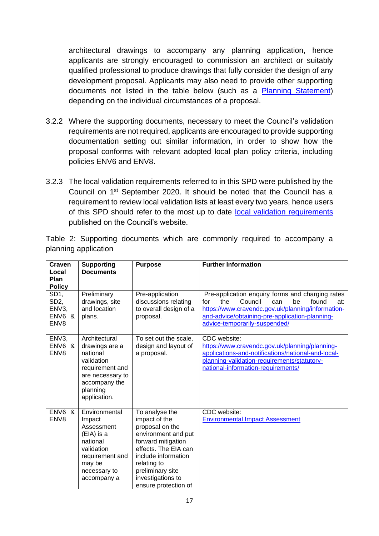architectural drawings to accompany any planning application, hence applicants are strongly encouraged to commission an architect or suitably qualified professional to produce drawings that fully consider the design of any development proposal. Applicants may also need to provide other supporting documents not listed in the table below (such as a [Planning Statement\)](https://www.cravendc.gov.uk/planning/planning-applications-and-notifications/national-and-local-planning-validation-requirements/local-information-requirements/planning-statement/) depending on the individual circumstances of a proposal.

- 3.2.2 Where the supporting documents, necessary to meet the Council's validation requirements are not required, applicants are encouraged to provide supporting documentation setting out similar information, in order to show how the proposal conforms with relevant adopted local plan policy criteria, including policies ENV6 and ENV8.
- 3.2.3 The local validation requirements referred to in this SPD were published by the Council on 1st September 2020. It should be noted that the Council has a requirement to review local validation lists at least every two years, hence users of this SPD should refer to the most up to date [local validation requirements](https://www.cravendc.gov.uk/planning/planning-applications-and-notifications/national-and-local-planning-validation-requirements/local-information-requirements/) published on the Council's website.

Table 2: Supporting documents which are commonly required to accompany a planning application

| Craven<br>Local                                                 | <b>Supporting</b><br><b>Documents</b>                                                                                                         | <b>Purpose</b>                                                                                                                                                                                                                 | <b>Further Information</b>                                                                                                                                                                                                                     |
|-----------------------------------------------------------------|-----------------------------------------------------------------------------------------------------------------------------------------------|--------------------------------------------------------------------------------------------------------------------------------------------------------------------------------------------------------------------------------|------------------------------------------------------------------------------------------------------------------------------------------------------------------------------------------------------------------------------------------------|
| Plan<br><b>Policy</b>                                           |                                                                                                                                               |                                                                                                                                                                                                                                |                                                                                                                                                                                                                                                |
| SD <sub>1</sub> ,<br>SD <sub>2</sub><br>ENV3,<br>ENV6 &<br>ENV8 | Preliminary<br>drawings, site<br>and location<br>plans.                                                                                       | Pre-application<br>discussions relating<br>to overall design of a<br>proposal.                                                                                                                                                 | Pre-application enquiry forms and charging rates<br>Council<br>the<br>be<br>found<br>for<br>can<br>at:<br>https://www.cravendc.gov.uk/planning/information-<br>and-advice/obtaining-pre-application-planning-<br>advice-temporarily-suspended/ |
| ENV3,<br>ENV6 &<br>ENV8                                         | Architectural<br>drawings are a<br>national<br>validation<br>requirement and<br>are necessary to<br>accompany the<br>planning<br>application. | To set out the scale,<br>design and layout of<br>a proposal.                                                                                                                                                                   | CDC website:<br>https://www.cravendc.gov.uk/planning/planning-<br>applications-and-notifications/national-and-local-<br>planning-validation-requirements/statutory-<br>national-information-requirements/                                      |
| ENV6 &<br>ENV8                                                  | Environmental<br>Impact<br>Assessment<br>(EIA) is a<br>national<br>validation<br>requirement and<br>may be<br>necessary to<br>accompany a     | To analyse the<br>impact of the<br>proposal on the<br>environment and put<br>forward mitigation<br>effects. The EIA can<br>include information<br>relating to<br>preliminary site<br>investigations to<br>ensure protection of | CDC website:<br><b>Environmental Impact Assessment</b>                                                                                                                                                                                         |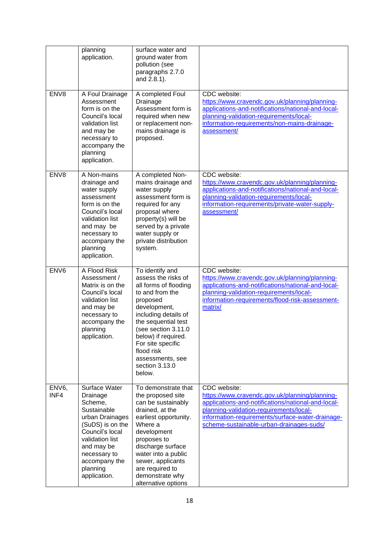|                            | planning<br>application.                                                                                                                                                                                    | surface water and<br>ground water from<br>pollution (see<br>paragraphs 2.7.0<br>and 2.8.1).                                                                                                                                                                                                    |                                                                                                                                                                                                                                                                 |
|----------------------------|-------------------------------------------------------------------------------------------------------------------------------------------------------------------------------------------------------------|------------------------------------------------------------------------------------------------------------------------------------------------------------------------------------------------------------------------------------------------------------------------------------------------|-----------------------------------------------------------------------------------------------------------------------------------------------------------------------------------------------------------------------------------------------------------------|
| ENV8                       | A Foul Drainage<br>Assessment<br>form is on the<br>Council's local<br>validation list<br>and may be<br>necessary to<br>accompany the<br>planning<br>application.                                            | A completed Foul<br>Drainage<br>Assessment form is<br>required when new<br>or replacement non-<br>mains drainage is<br>proposed.                                                                                                                                                               | CDC website:<br>https://www.cravendc.gov.uk/planning/planning-<br>applications-and-notifications/national-and-local-<br>planning-validation-requirements/local-<br>information-requirements/non-mains-drainage-<br>assessment/                                  |
| ENV8                       | A Non-mains<br>drainage and<br>water supply<br>assessment<br>form is on the<br>Council's local<br>validation list<br>and may be<br>necessary to<br>accompany the<br>planning<br>application.                | A completed Non-<br>mains drainage and<br>water supply<br>assessment form is<br>required for any<br>proposal where<br>property(s) will be<br>served by a private<br>water supply or<br>private distribution<br>system.                                                                         | CDC website:<br>https://www.cravendc.gov.uk/planning/planning-<br>applications-and-notifications/national-and-local-<br>planning-validation-requirements/local-<br>information-requirements/private-water-supply-<br>assessment/                                |
| ENV <sub>6</sub>           | A Flood Risk<br>Assessment /<br>Matrix is on the<br>Council's local<br>validation list<br>and may be<br>necessary to<br>accompany the<br>planning<br>application.                                           | To identify and<br>assess the risks of<br>all forms of flooding<br>to and from the<br>proposed<br>development,<br>including details of<br>the sequential test<br>(see section 3.11.0<br>below) if required.<br>For site specific<br>flood risk<br>assessments, see<br>section 3.13.0<br>below. | CDC website:<br>https://www.cravendc.gov.uk/planning/planning-<br>applications-and-notifications/national-and-local-<br>planning-validation-requirements/local-<br>information-requirements/flood-risk-assessment-<br>matrix/                                   |
| ENV <sub>6</sub> ,<br>INF4 | Surface Water<br>Drainage<br>Scheme,<br>Sustainable<br>urban Drainages<br>(SuDS) is on the<br>Council's local<br>validation list<br>and may be<br>necessary to<br>accompany the<br>planning<br>application. | To demonstrate that<br>the proposed site<br>can be sustainably<br>drained, at the<br>earliest opportunity.<br>Where a<br>development<br>proposes to<br>discharge surface<br>water into a public<br>sewer, applicants<br>are required to<br>demonstrate why<br>alternative options              | CDC website:<br>https://www.cravendc.gov.uk/planning/planning-<br>applications-and-notifications/national-and-local-<br>planning-validation-requirements/local-<br>information-requirements/surface-water-drainage-<br>scheme-sustainable-urban-drainages-suds/ |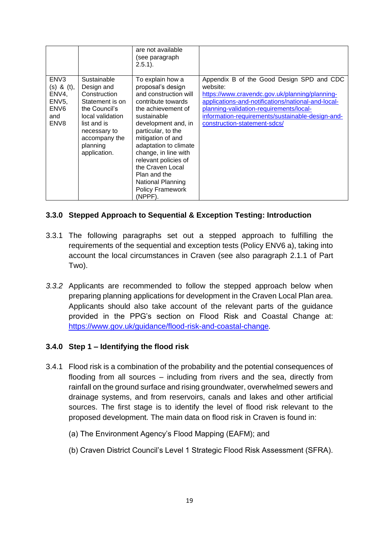|                                                                                                       |                                                                                                                                                                               | are not available<br>(see paragraph<br>$2.5.1$ ).                                                                                                                                                                                                                                                                                                                   |                                                                                                                                                                                                                                                                                              |
|-------------------------------------------------------------------------------------------------------|-------------------------------------------------------------------------------------------------------------------------------------------------------------------------------|---------------------------------------------------------------------------------------------------------------------------------------------------------------------------------------------------------------------------------------------------------------------------------------------------------------------------------------------------------------------|----------------------------------------------------------------------------------------------------------------------------------------------------------------------------------------------------------------------------------------------------------------------------------------------|
| ENV <sub>3</sub><br>$(s)$ & $(t)$ ,<br>ENV4,<br>ENV <sub>5</sub> ,<br>ENV <sub>6</sub><br>and<br>ENV8 | Sustainable<br>Design and<br>Construction<br>Statement is on<br>the Council's<br>local validation<br>list and is<br>necessary to<br>accompany the<br>planning<br>application. | To explain how a<br>proposal's design<br>and construction will<br>contribute towards<br>the achievement of<br>sustainable<br>development and, in<br>particular, to the<br>mitigation of and<br>adaptation to climate<br>change, in line with<br>relevant policies of<br>the Craven Local<br>Plan and the<br>National Planning<br><b>Policy Framework</b><br>(NPPF). | Appendix B of the Good Design SPD and CDC<br>website:<br>https://www.cravendc.gov.uk/planning/planning-<br>applications-and-notifications/national-and-local-<br>planning-validation-requirements/local-<br>information-requirements/sustainable-design-and-<br>construction-statement-sdcs/ |

### **3.3.0 Stepped Approach to Sequential & Exception Testing: Introduction**

- 3.3.1 The following paragraphs set out a stepped approach to fulfilling the requirements of the sequential and exception tests (Policy ENV6 a), taking into account the local circumstances in Craven (see also paragraph 2.1.1 of Part Two).
- *3.3.2* Applicants are recommended to follow the stepped approach below when preparing planning applications for development in the Craven Local Plan area. Applicants should also take account of the relevant parts of the guidance provided in the PPG's section on Flood Risk and Coastal Change at: <https://www.gov.uk/guidance/flood-risk-and-coastal-change>*.*

#### **3.4.0 Step 1 – Identifying the flood risk**

- 3.4.1 Flood risk is a combination of the probability and the potential consequences of flooding from all sources – including from rivers and the sea, directly from rainfall on the ground surface and rising groundwater, overwhelmed sewers and drainage systems, and from reservoirs, canals and lakes and other artificial sources. The first stage is to identify the level of flood risk relevant to the proposed development. The main data on flood risk in Craven is found in:
	- (a) The Environment Agency's Flood Mapping (EAFM); and
	- (b) Craven District Council's Level 1 Strategic Flood Risk Assessment (SFRA).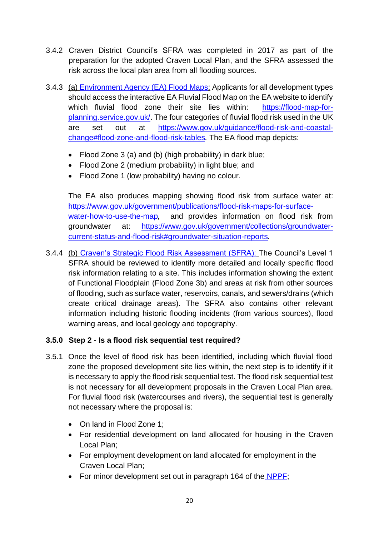- 3.4.2 Craven District Council's SFRA was completed in 2017 as part of the preparation for the adopted Craven Local Plan, and the SFRA assessed the risk across the local plan area from all flooding sources.
- 3.4.3 (a) [Environment Agency \(EA\) Flood Maps:](https://flood-map-for-planning.service.gov.uk/) Applicants for all development types should access the interactive EA Fluvial Flood Map on the EA website to identify which fluvial flood zone their site lies within: [https://flood-map-for](https://flood-map-for-planning.service.gov.uk/)[planning.service.gov.uk/.](https://flood-map-for-planning.service.gov.uk/) The four categories of fluvial flood risk used in the UK are set out at [https://www.gov.uk/guidance/flood-risk-and-coastal](https://www.gov.uk/guidance/flood-risk-and-coastal-change#flood-zone-and-flood-risk-tables)[change#flood-zone-and-flood-risk-tables](https://www.gov.uk/guidance/flood-risk-and-coastal-change#flood-zone-and-flood-risk-tables)*.* The EA flood map depicts:
	- Flood Zone 3 (a) and (b) (high probability) in dark blue;
	- Flood Zone 2 (medium probability) in light blue; and
	- Flood Zone 1 (low probability) having no colour.

The EA also produces mapping showing flood risk from surface water at: [https://www.gov.uk/government/publications/flood-risk-maps-for-surface](https://www.gov.uk/government/publications/flood-risk-maps-for-surface-water-how-to-use-the-map)[water-how-to-use-the-map](https://www.gov.uk/government/publications/flood-risk-maps-for-surface-water-how-to-use-the-map)*,* and provides information on flood risk from groundwater at: [https://www.gov.uk/government/collections/groundwater](https://www.gov.uk/government/collections/groundwater-current-status-and-flood-risk#groundwater-situation-reports)[current-status-and-flood-risk#groundwater-situation-reports](https://www.gov.uk/government/collections/groundwater-current-status-and-flood-risk#groundwater-situation-reports)*.*

3.4.4 (b) [Craven's Strategic Flood Risk Assessment \(SFRA\):](https://www.cravendc.gov.uk/planning/spatial-planning/evidence-and-monitoring/strategic-flood-risk-assessment-sfra/) The Council's Level 1 SFRA should be reviewed to identify more detailed and locally specific flood risk information relating to a site. This includes information showing the extent of Functional Floodplain (Flood Zone 3b) and areas at risk from other sources of flooding, such as surface water, reservoirs, canals, and sewers/drains (which create critical drainage areas). The SFRA also contains other relevant information including historic flooding incidents (from various sources), flood warning areas, and local geology and topography.

### **3.5.0 Step 2 - Is a flood risk sequential test required?**

- 3.5.1 Once the level of flood risk has been identified, including which fluvial flood zone the proposed development site lies within, the next step is to identify if it is necessary to apply the flood risk sequential test. The flood risk sequential test is not necessary for all development proposals in the Craven Local Plan area. For fluvial flood risk (watercourses and rivers), the sequential test is generally not necessary where the proposal is:
	- On land in Flood Zone 1:
	- For residential development on land allocated for housing in the Craven Local Plan;
	- For employment development on land allocated for employment in the Craven Local Plan;
	- For minor development set out in paragraph 164 of the [NPPF;](https://www.gov.uk/government/publications/national-planning-policy-framework--2)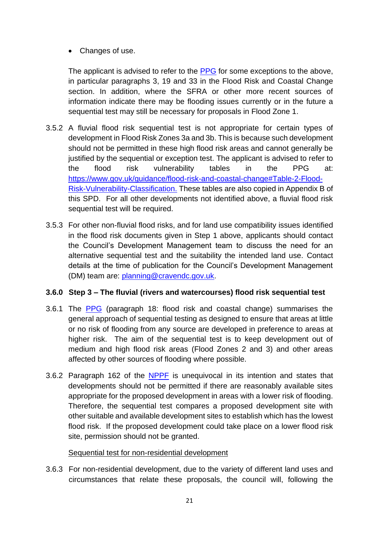• Changes of use.

The applicant is advised to refer to the [PPG](https://www.gov.uk/guidance/flood-risk-and-coastal-change) for some exceptions to the above, in particular paragraphs 3, 19 and 33 in the Flood Risk and Coastal Change section. In addition, where the SFRA or other more recent sources of information indicate there may be flooding issues currently or in the future a sequential test may still be necessary for proposals in Flood Zone 1.

- 3.5.2 A fluvial flood risk sequential test is not appropriate for certain types of development in Flood Risk Zones 3a and 3b. This is because such development should not be permitted in these high flood risk areas and cannot generally be justified by the sequential or exception test. The applicant is advised to refer to the flood risk vulnerability tables in the PPG at: [https://www.gov.uk/guidance/flood-risk-and-coastal-change#Table-2-Flood-](https://www.gov.uk/guidance/flood-risk-and-coastal-change#Table-2-Flood-Risk-Vulnerability-Classification)[Risk-Vulnerability-Classification.](https://www.gov.uk/guidance/flood-risk-and-coastal-change#Table-2-Flood-Risk-Vulnerability-Classification) These tables are also copied in Appendix B of this SPD. For all other developments not identified above, a fluvial flood risk sequential test will be required.
- 3.5.3 For other non-fluvial flood risks, and for land use compatibility issues identified in the flood risk documents given in Step 1 above, applicants should contact the Council's Development Management team to discuss the need for an alternative sequential test and the suitability the intended land use. Contact details at the time of publication for the Council's Development Management (DM) team are: [planning@cravendc.gov.uk.](mailto:planning@cravendc.gov.uk)

#### **3.6.0 Step 3 – The fluvial (rivers and watercourses) flood risk sequential test**

- 3.6.1 The [PPG](https://www.gov.uk/guidance/flood-risk-and-coastal-change) (paragraph 18: flood risk and coastal change) summarises the general approach of sequential testing as designed to ensure that areas at little or no risk of flooding from any source are developed in preference to areas at higher risk. The aim of the sequential test is to keep development out of medium and high flood risk areas (Flood Zones 2 and 3) and other areas affected by other sources of flooding where possible.
- 3.6.2 Paragraph 162 of the [NPPF](https://www.gov.uk/government/publications/national-planning-policy-framework--2) is unequivocal in its intention and states that developments should not be permitted if there are reasonably available sites appropriate for the proposed development in areas with a lower risk of flooding. Therefore, the sequential test compares a proposed development site with other suitable and available development sites to establish which has the lowest flood risk. If the proposed development could take place on a lower flood risk site, permission should not be granted.

#### Sequential test for non-residential development

3.6.3 For non-residential development, due to the variety of different land uses and circumstances that relate these proposals, the council will, following the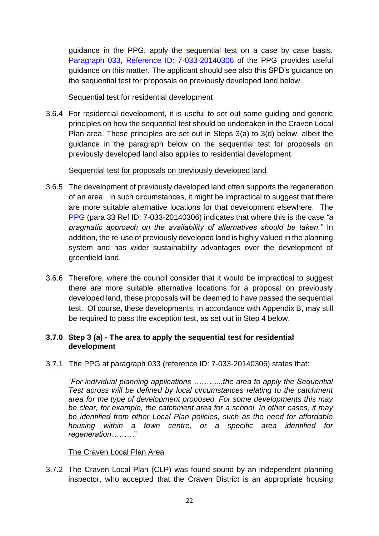guidance in the PPG, apply the sequential test on a case by case basis. Paragraph 033, [Reference ID: 7-033-20140306](https://www.gov.uk/guidance/flood-risk-and-coastal-change) of the PPG provides useful guidance on this matter. The applicant should see also this SPD's guidance on the sequential test for proposals on previously developed land below.

#### Sequential test for residential development

3.6.4 For residential development, it is useful to set out some guiding and generic principles on how the sequential test should be undertaken in the Craven Local Plan area. These principles are set out in Steps 3(a) to 3(d) below, albeit the guidance in the paragraph below on the sequential test for proposals on previously developed land also applies to residential development.

#### Sequential test for proposals on previously developed land

- 3.6.5 The development of previously developed land often supports the regeneration of an area. In such circumstances, it might be impractical to suggest that there are more suitable alternative locations for that development elsewhere. The [PPG](https://www.gov.uk/guidance/flood-risk-and-coastal-change) (para 33 Ref ID: 7-033-20140306) indicates that where this is the case *"a pragmatic approach on the availability of alternatives should be taken."* In addition, the re-use of previously developed land is highly valued in the planning system and has wider sustainability advantages over the development of greenfield land.
- 3.6.6 Therefore, where the council consider that it would be impractical to suggest there are more suitable alternative locations for a proposal on previously developed land, these proposals will be deemed to have passed the sequential test. Of course, these developments, in accordance with Appendix B, may still be required to pass the exception test, as set out in Step 4 below.

#### **3.7.0 Step 3 (a) - The area to apply the sequential test for residential development**

3.7.1 The PPG at paragraph 033 (reference ID: 7-033-20140306) states that:

"*For individual planning applications ………...the area to apply the Sequential Test across will be defined by local circumstances relating to the catchment area for the type of development proposed. For some developments this may be clear, for example, the catchment area for a school. In other cases, it may be identified from other Local Plan policies, such as the need for affordable housing within a town centre, or a specific area identified for regeneration………*"

#### The Craven Local Plan Area

3.7.2 The Craven Local Plan (CLP) was found sound by an independent planning inspector, who accepted that the Craven District is an appropriate housing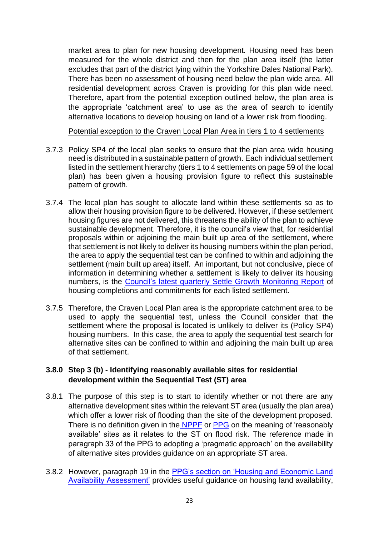market area to plan for new housing development. Housing need has been measured for the whole district and then for the plan area itself (the latter excludes that part of the district lying within the Yorkshire Dales National Park). There has been no assessment of housing need below the plan wide area. All residential development across Craven is providing for this plan wide need. Therefore, apart from the potential exception outlined below, the plan area is the appropriate 'catchment area' to use as the area of search to identify alternative locations to develop housing on land of a lower risk from flooding.

Potential exception to the Craven Local Plan Area in tiers 1 to 4 settlements

- 3.7.3 Policy SP4 of the local plan seeks to ensure that the plan area wide housing need is distributed in a sustainable pattern of growth. Each individual settlement listed in the settlement hierarchy (tiers 1 to 4 settlements on page 59 of the local plan) has been given a housing provision figure to reflect this sustainable pattern of growth.
- 3.7.4 The local plan has sought to allocate land within these settlements so as to allow their housing provision figure to be delivered. However, if these settlement housing figures are not delivered, this threatens the ability of the plan to achieve sustainable development. Therefore, it is the council's view that, for residential proposals within or adjoining the main built up area of the settlement, where that settlement is not likely to deliver its housing numbers within the plan period, the area to apply the sequential test can be confined to within and adjoining the settlement (main built up area) itself. An important, but not conclusive, piece of information in determining whether a settlement is likely to deliver its housing numbers, is the [Council's latest quarterly Settle Growth Monitoring Report](https://www.cravendc.gov.uk/planning/spatial-planning/evidence-and-monitoring/settlement-growth-monitoring/) of housing completions and commitments for each listed settlement.
- 3.7.5 Therefore, the Craven Local Plan area is the appropriate catchment area to be used to apply the sequential test, unless the Council consider that the settlement where the proposal is located is unlikely to deliver its (Policy SP4) housing numbers. In this case, the area to apply the sequential test search for alternative sites can be confined to within and adjoining the main built up area of that settlement.

#### **3.8.0 Step 3 (b) - Identifying reasonably available sites for residential development within the Sequential Test (ST) area**

- 3.8.1 The purpose of this step is to start to identify whether or not there are any alternative development sites within the relevant ST area (usually the plan area) which offer a lower risk of flooding than the site of the development proposed. There is no definition given in the [NPPF](https://www.gov.uk/government/publications/national-planning-policy-framework--2) or [PPG](https://www.gov.uk/guidance/flood-risk-and-coastal-change) on the meaning of 'reasonably available' sites as it relates to the ST on flood risk. The reference made in paragraph 33 of the PPG to adopting a 'pragmatic approach' on the availability of alternative sites provides guidance on an appropriate ST area.
- 3.8.2 However, paragraph 19 in the [PPG's section on 'Housing and Economic Land](https://www.gov.uk/guidance/housing-and-economic-land-availability-assessment)  [Availability Assessment'](https://www.gov.uk/guidance/housing-and-economic-land-availability-assessment) provides useful guidance on housing land availability,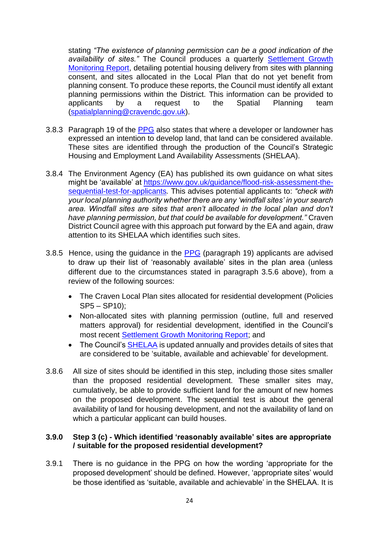stating *"The existence of planning permission can be a good indication of the*  availability of sites." The Council produces a quarterly **Settlement Growth** [Monitoring Report,](https://www.cravendc.gov.uk/planning/spatial-planning/evidence-and-monitoring/settlement-growth-monitoring/) detailing potential housing delivery from sites with planning consent, and sites allocated in the Local Plan that do not yet benefit from planning consent. To produce these reports, the Council must identify all extant planning permissions within the District. This information can be provided to applicants by a request to the Spatial Planning team [\(spatialplanning@cravendc.gov.uk\)](mailto:spatialplanning@cravendc.gov.uk).

- 3.8.3 Paragraph 19 of the [PPG](https://www.gov.uk/guidance/housing-and-economic-land-availability-assessment) also states that where a developer or landowner has expressed an intention to develop land, that land can be considered available. These sites are identified through the production of the Council's Strategic Housing and Employment Land Availability Assessments (SHELAA).
- 3.8.4 The Environment Agency (EA) has published its own guidance on what sites might be 'available' at [https://www.gov.uk/guidance/flood-risk-assessment-the](https://www.gov.uk/guidance/flood-risk-assessment-the-sequential-test-for-applicants)[sequential-test-for-applicants](https://www.gov.uk/guidance/flood-risk-assessment-the-sequential-test-for-applicants)*.* This advises potential applicants to: *"check with your local planning authority whether there are any 'windfall sites' in your search area. Windfall sites are sites that aren't allocated in the local plan and don't have planning permission, but that could be available for development."* Craven District Council agree with this approach put forward by the EA and again, draw attention to its SHELAA which identifies such sites.
- 3.8.5 Hence, using the guidance in the [PPG](https://www.gov.uk/guidance/housing-and-economic-land-availability-assessment) (paragraph 19) applicants are advised to draw up their list of 'reasonably available' sites in the plan area (unless different due to the circumstances stated in paragraph 3.5.6 above), from a review of the following sources:
	- The Craven Local Plan sites allocated for residential development (Policies  $SP5 - SP10$ :
	- Non-allocated sites with planning permission (outline, full and reserved matters approval) for residential development, identified in the Council's most recent [Settlement Growth Monitoring Report;](https://www.cravendc.gov.uk/planning/spatial-planning/evidence-and-monitoring/settlement-growth-monitoring/) and
	- The Council's [SHELAA](https://www.cravendc.gov.uk/planning/spatial-planning/evidence-and-monitoring/strategic-housing-and-economic-land-availability-assessment/) is updated annually and provides details of sites that are considered to be 'suitable, available and achievable' for development.
- 3.8.6 All size of sites should be identified in this step, including those sites smaller than the proposed residential development. These smaller sites may, cumulatively, be able to provide sufficient land for the amount of new homes on the proposed development. The sequential test is about the general availability of land for housing development, and not the availability of land on which a particular applicant can build houses.

#### **3.9.0 Step 3 (c) - Which identified 'reasonably available' sites are appropriate / suitable for the proposed residential development?**

3.9.1 There is no guidance in the PPG on how the wording 'appropriate for the proposed development' should be defined. However, 'appropriate sites' would be those identified as 'suitable, available and achievable' in the SHELAA. It is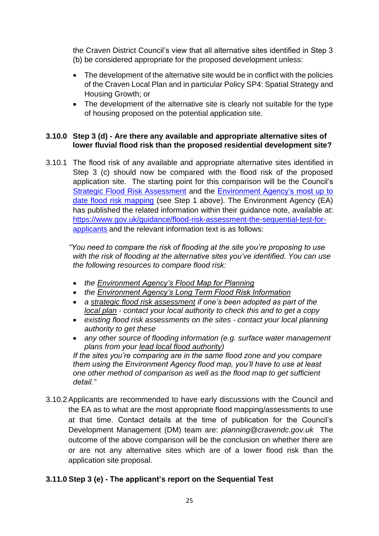the Craven District Council's view that all alternative sites identified in Step 3 (b) be considered appropriate for the proposed development unless:

- The development of the alternative site would be in conflict with the policies of the Craven Local Plan and in particular Policy SP4: Spatial Strategy and Housing Growth; or
- The development of the alternative site is clearly not suitable for the type of housing proposed on the potential application site.

#### **3.10.0 Step 3 (d) - Are there any available and appropriate alternative sites of lower fluvial flood risk than the proposed residential development site?**

3.10.1 The flood risk of any available and appropriate alternative sites identified in Step 3 (c) should now be compared with the flood risk of the proposed application site. The starting point for this comparison will be the Council's [Strategic Flood Risk Assessment](https://www.cravendc.gov.uk/planning/spatial-planning/evidence-and-monitoring/strategic-flood-risk-assessment-sfra/) and the [Environment Agency's most up to](https://flood-map-for-planning.service.gov.uk/)  [date flood risk](https://flood-map-for-planning.service.gov.uk/) mapping (see Step 1 above). The Environment Agency (EA) has published the related information within their guidance note, available at: [https://www.gov.uk/guidance/flood-risk-assessment-the-sequential-test-for](https://www.gov.uk/guidance/flood-risk-assessment-the-sequential-test-for-applicants)[applicants](https://www.gov.uk/guidance/flood-risk-assessment-the-sequential-test-for-applicants) and the relevant information text is as follows:

*"You need to compare the risk of flooding at the site you're proposing to use with the risk of flooding at the alternative sites you've identified. You can use the following resources to compare flood risk:*

- *the [Environment Agency's Flood Map for Planning](https://flood-map-for-planning.service.gov.uk/)*
- *the [Environment Agency's Long Term Flood Risk Information](https://flood-warning-information.service.gov.uk/long-term-flood-risk)*
- *a [strategic flood risk assessment](https://www.gov.uk/guidance/local-planning-authorities-strategic-flood-risk-assessment) if one's been adopted as part of th[e](http://planningguidance.planningportal.gov.uk/blog/guidance/local-plans/local-plans-key-issues/) [local plan](http://planningguidance.planningportal.gov.uk/blog/guidance/local-plans/local-plans-key-issues/) - contact your local authority to check this and to get a copy*
- *existing flood risk assessments on the sites - contact your local planning authority to get these*
- *any other source of flooding information (e.g. surface water management plans from your [lead local flood authority\)](https://www.gov.uk/find-your-local-council)*

*If the sites you're comparing are in the same flood zone and you compare them using the Environment Agency flood map, you'll have to use at least one other method of comparison as well as the flood map to get sufficient detail."*

3.10.2Applicants are recommended to have early discussions with the Council and the EA as to what are the most appropriate flood mapping/assessments to use at that time. Contact details at the time of publication for the Council's Development Management (DM) team are: *[planning@cravendc.gov.uk](mailto:planning@cravendc.gov.uk)* The outcome of the above comparison will be the conclusion on whether there are or are not any alternative sites which are of a lower flood risk than the application site proposal.

### **3.11.0 Step 3 (e) - The applicant's report on the Sequential Test**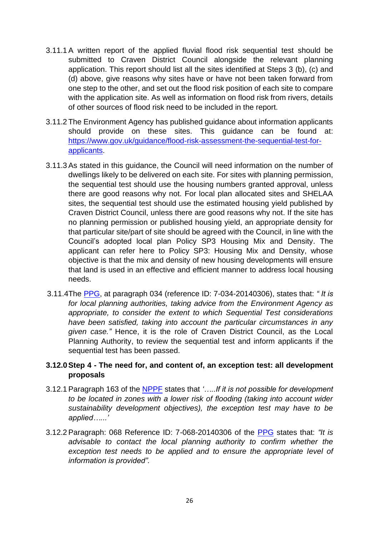- 3.11.1A written report of the applied fluvial flood risk sequential test should be submitted to Craven District Council alongside the relevant planning application. This report should list all the sites identified at Steps 3 (b), (c) and (d) above, give reasons why sites have or have not been taken forward from one step to the other, and set out the flood risk position of each site to compare with the application site. As well as information on flood risk from rivers, details of other sources of flood risk need to be included in the report.
- 3.11.2 The Environment Agency has published guidance about information applicants should provide on these sites. This guidance can be found at: [https://www.gov.uk/guidance/flood-risk-assessment-the-sequential-test-for](https://www.gov.uk/guidance/flood-risk-assessment-the-sequential-test-for-applicants)[applicants](https://www.gov.uk/guidance/flood-risk-assessment-the-sequential-test-for-applicants).
- 3.11.3As stated in this guidance, the Council will need information on the number of dwellings likely to be delivered on each site. For sites with planning permission, the sequential test should use the housing numbers granted approval, unless there are good reasons why not. For local plan allocated sites and SHELAA sites, the sequential test should use the estimated housing yield published by Craven District Council, unless there are good reasons why not. If the site has no planning permission or published housing yield, an appropriate density for that particular site/part of site should be agreed with the Council, in line with the Council's adopted local plan Policy SP3 Housing Mix and Density. The applicant can refer here to Policy SP3: Housing Mix and Density, whose objective is that the mix and density of new housing developments will ensure that land is used in an effective and efficient manner to address local housing needs.
- 3.11.4The [PPG,](https://www.gov.uk/guidance/flood-risk-and-coastal-change) at paragraph 034 (reference ID: 7-034-20140306), states that: *" It is for local planning authorities, taking advice from the Environment Agency as appropriate, to consider the extent to which Sequential Test considerations have been satisfied, taking into account the particular circumstances in any given case."* Hence, it is the role of Craven District Council, as the Local Planning Authority, to review the sequential test and inform applicants if the sequential test has been passed.

#### **3.12.0Step 4 - The need for, and content of, an exception test: all development proposals**

- 3.12.1Paragraph 163 of the [NPPF](https://www.gov.uk/government/publications/national-planning-policy-framework--2) states that *'…..If it is not possible for development to be located in zones with a lower risk of flooding (taking into account wider sustainability development objectives), the exception test may have to be applied…...'*
- 3.12.2Paragraph: 068 Reference ID: 7-068-20140306 of the [PPG](https://www.gov.uk/guidance/flood-risk-and-coastal-change) states that: *"It is advisable to contact the local planning authority to confirm whether the exception test needs to be applied and to ensure the appropriate level of information is provided".*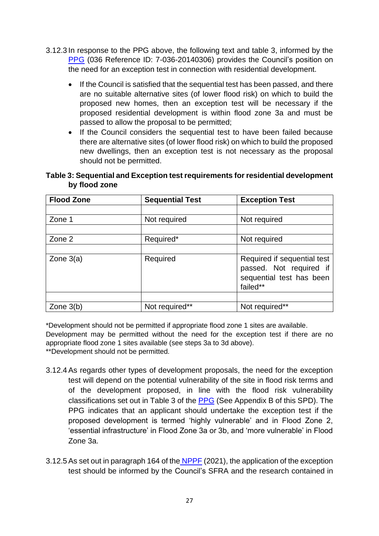- 3.12.3 In response to the PPG above, the following text and table 3, informed by the [PPG](https://www.gov.uk/guidance/flood-risk-and-coastal-change) (036 Reference ID: 7-036-20140306) provides the Council's position on the need for an exception test in connection with residential development.
	- If the Council is satisfied that the sequential test has been passed, and there are no suitable alternative sites (of lower flood risk) on which to build the proposed new homes, then an exception test will be necessary if the proposed residential development is within flood zone 3a and must be passed to allow the proposal to be permitted;
	- If the Council considers the sequential test to have been failed because there are alternative sites (of lower flood risk) on which to build the proposed new dwellings, then an exception test is not necessary as the proposal should not be permitted.

**Table 3: Sequential and Exception test requirements for residential development by flood zone**

| <b>Flood Zone</b> | <b>Sequential Test</b> | <b>Exception Test</b>                                                                          |
|-------------------|------------------------|------------------------------------------------------------------------------------------------|
|                   |                        |                                                                                                |
| Zone 1            | Not required           | Not required                                                                                   |
|                   |                        |                                                                                                |
| Zone 2            | Required*              | Not required                                                                                   |
|                   |                        |                                                                                                |
| Zone $3(a)$       | Required               | Required if sequential test<br>passed. Not required if<br>sequential test has been<br>failed** |
|                   |                        |                                                                                                |
| Zone $3(b)$       | Not required**         | Not required**                                                                                 |

\*Development should not be permitted if appropriate flood zone 1 sites are available. Development may be permitted without the need for the exception test if there are no appropriate flood zone 1 sites available (see steps 3a to 3d above).

\*\*Development should not be permitted.

- 3.12.4As regards other types of development proposals, the need for the exception test will depend on the potential vulnerability of the site in flood risk terms and of the development proposed, in line with the flood risk vulnerability classifications set out in Table 3 of the [PPG](https://www.gov.uk/guidance/flood-risk-and-coastal-change) (See Appendix B of this SPD). The PPG indicates that an applicant should undertake the exception test if the proposed development is termed 'highly vulnerable' and in Flood Zone 2, 'essential infrastructure' in Flood Zone 3a or 3b, and 'more vulnerable' in Flood Zone 3a.
- 3.12.5 As set out in paragraph 164 of the [NPPF](https://www.gov.uk/government/publications/national-planning-policy-framework--2) (2021), the application of the exception test should be informed by the Council's SFRA and the research contained in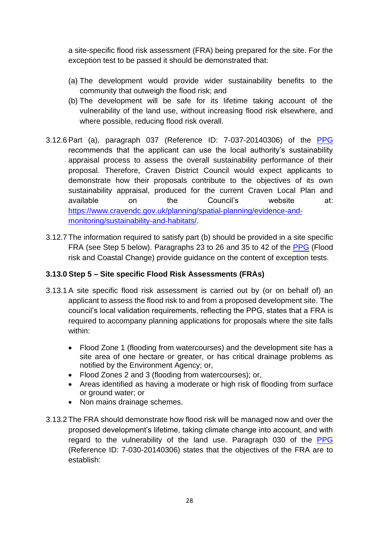a site-specific flood risk assessment (FRA) being prepared for the site. For the exception test to be passed it should be demonstrated that:

- (a) The development would provide wider sustainability benefits to the community that outweigh the flood risk; and
- (b) The development will be safe for its lifetime taking account of the vulnerability of the land use, without increasing flood risk elsewhere, and where possible, reducing flood risk overall.
- 3.12.6Part (a), paragraph 037 (Reference ID: 7-037-20140306) of the [PPG](https://www.gov.uk/guidance/flood-risk-and-coastal-change) recommends that the applicant can use the local authority's sustainability appraisal process to assess the overall sustainability performance of their proposal. Therefore, Craven District Council would expect applicants to demonstrate how their proposals contribute to the objectives of its own sustainability appraisal, produced for the current Craven Local Plan and available on the Council's website at: [https://www.cravendc.gov.uk/planning/spatial-planning/evidence-and](https://www.cravendc.gov.uk/planning/spatial-planning/evidence-and-monitoring/sustainability-and-habitats/)[monitoring/sustainability-and-habitats/.](https://www.cravendc.gov.uk/planning/spatial-planning/evidence-and-monitoring/sustainability-and-habitats/)
- 3.12.7 The information required to satisfy part (b) should be provided in a site specific FRA (see Step 5 below). Paragraphs 23 to 26 and 35 to 42 of the [PPG](https://www.gov.uk/guidance/flood-risk-and-coastal-change) (Flood risk and Coastal Change) provide guidance on the content of exception tests.

#### **3.13.0 Step 5 – Site specific Flood Risk Assessments (FRAs)**

- 3.13.1A site specific flood risk assessment is carried out by (or on behalf of) an applicant to assess the flood risk to and from a proposed development site. The council's local validation requirements, reflecting the PPG, states that a FRA is required to accompany planning applications for proposals where the site falls within:
	- Flood Zone 1 (flooding from watercourses) and the development site has a site area of one hectare or greater, or has critical drainage problems as notified by the Environment Agency; or,
	- Flood Zones 2 and 3 (flooding from watercourses); or,
	- Areas identified as having a moderate or high risk of flooding from surface or ground water; or
	- Non mains drainage schemes.
- 3.13.2 The FRA should demonstrate how flood risk will be managed now and over the proposed development's lifetime, taking climate change into account, and with regard to the vulnerability of the land use. Paragraph 030 of the [PPG](https://www.gov.uk/guidance/flood-risk-and-coastal-change) (Reference ID: 7-030-20140306) states that the objectives of the FRA are to establish: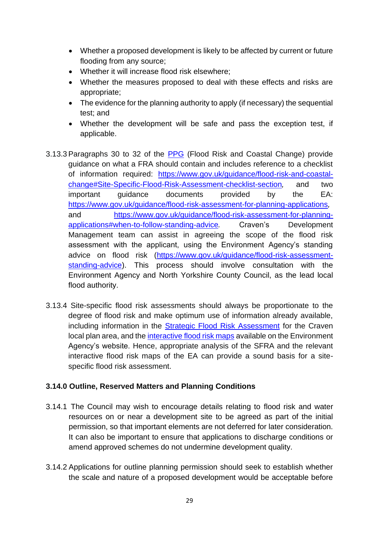- Whether a proposed development is likely to be affected by current or future flooding from any source;
- Whether it will increase flood risk elsewhere;
- Whether the measures proposed to deal with these effects and risks are appropriate;
- The evidence for the planning authority to apply (if necessary) the sequential test; and
- Whether the development will be safe and pass the exception test, if applicable.
- 3.13.3Paragraphs 30 to 32 of the [PPG](https://www.gov.uk/guidance/flood-risk-and-coastal-change) (Flood Risk and Coastal Change) provide guidance on what a FRA should contain and includes reference to a checklist of information required: [https://www.gov.uk/guidance/flood-risk-and-coastal](https://www.gov.uk/guidance/flood-risk-and-coastal-change#Site-Specific-Flood-Risk-Assessment-checklist-section)[change#Site-Specific-Flood-Risk-Assessment-checklist-section](https://www.gov.uk/guidance/flood-risk-and-coastal-change#Site-Specific-Flood-Risk-Assessment-checklist-section)*,* and two important guidance documents provided by the EA: <https://www.gov.uk/guidance/flood-risk-assessment-for-planning-applications>*,* and [https://www.gov.uk/guidance/flood-risk-assessment-for-planning](https://www.gov.uk/guidance/flood-risk-assessment-for-planning-applications#when-to-follow-standing-advice)[applications#when-to-follow-standing-advice](https://www.gov.uk/guidance/flood-risk-assessment-for-planning-applications#when-to-follow-standing-advice)*.* Craven's Development Management team can assist in agreeing the scope of the flood risk assessment with the applicant, using the Environment Agency's standing advice on flood risk [\(https://www.gov.uk/guidance/flood-risk-assessment](https://www.gov.uk/guidance/flood-risk-assessment-standing-advice)[standing-advice\)](https://www.gov.uk/guidance/flood-risk-assessment-standing-advice). This process should involve consultation with the Environment Agency and North Yorkshire County Council, as the lead local flood authority.
- 3.13.4 Site-specific flood risk assessments should always be proportionate to the degree of flood risk and make optimum use of information already available, including information in the [Strategic Flood Risk Assessment](https://www.cravendc.gov.uk/planning/spatial-planning/evidence-and-monitoring/strategic-flood-risk-assessment-sfra/) for the Craven local plan area, and the [interactive flood risk maps](https://flood-map-for-planning.service.gov.uk/) available on the Environment Agency's website. Hence, appropriate analysis of the SFRA and the relevant interactive flood risk maps of the EA can provide a sound basis for a sitespecific flood risk assessment.

#### **3.14.0 Outline, Reserved Matters and Planning Conditions**

- 3.14.1 The Council may wish to encourage details relating to flood risk and water resources on or near a development site to be agreed as part of the initial permission, so that important elements are not deferred for later consideration. It can also be important to ensure that applications to discharge conditions or amend approved schemes do not undermine development quality.
- 3.14.2 Applications for outline planning permission should seek to establish whether the scale and nature of a proposed development would be acceptable before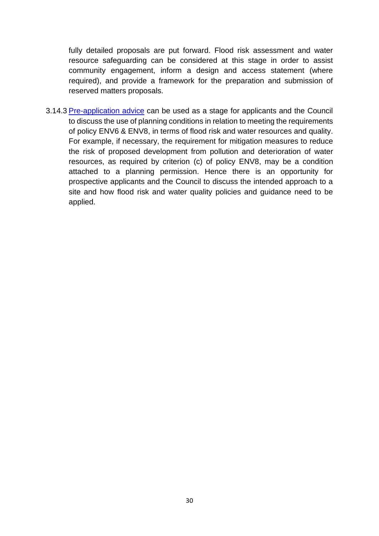fully detailed proposals are put forward. Flood risk assessment and water resource safeguarding can be considered at this stage in order to assist community engagement, inform a design and access statement (where required), and provide a framework for the preparation and submission of reserved matters proposals.

3.14.3 [Pre-application advice](https://www.cravendc.gov.uk/planning/information-and-advice/obtaining-pre-application-planning-advice-temporarily-suspended/) can be used as a stage for applicants and the Council to discuss the use of planning conditions in relation to meeting the requirements of policy ENV6 & ENV8, in terms of flood risk and water resources and quality. For example, if necessary, the requirement for mitigation measures to reduce the risk of proposed development from pollution and deterioration of water resources, as required by criterion (c) of policy ENV8, may be a condition attached to a planning permission. Hence there is an opportunity for prospective applicants and the Council to discuss the intended approach to a site and how flood risk and water quality policies and guidance need to be applied.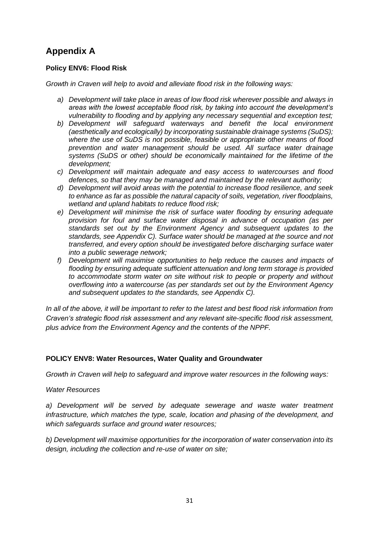# **Appendix A**

#### **Policy ENV6: Flood Risk**

*Growth in Craven will help to avoid and alleviate flood risk in the following ways:* 

- *a) Development will take place in areas of low flood risk wherever possible and always in areas with the lowest acceptable flood risk, by taking into account the development's vulnerability to flooding and by applying any necessary sequential and exception test;*
- *b) Development will safeguard waterways and benefit the local environment (aesthetically and ecologically) by incorporating sustainable drainage systems (SuDS); where the use of SuDS is not possible, feasible or appropriate other means of flood prevention and water management should be used. All surface water drainage systems (SuDS or other) should be economically maintained for the lifetime of the development;*
- *c) Development will maintain adequate and easy access to watercourses and flood defences, so that they may be managed and maintained by the relevant authority;*
- *d) Development will avoid areas with the potential to increase flood resilience, and seek to enhance as far as possible the natural capacity of soils, vegetation, river floodplains, wetland and upland habitats to reduce flood risk;*
- *e) Development will minimise the risk of surface water flooding by ensuring adequate provision for foul and surface water disposal in advance of occupation (as per standards set out by the Environment Agency and subsequent updates to the standards, see Appendix C). Surface water should be managed at the source and not transferred, and every option should be investigated before discharging surface water into a public sewerage network;*
- *f) Development will maximise opportunities to help reduce the causes and impacts of flooding by ensuring adequate sufficient attenuation and long term storage is provided to accommodate storm water on site without risk to people or property and without overflowing into a watercourse (as per standards set out by the Environment Agency and subsequent updates to the standards, see Appendix C).*

*In all of the above, it will be important to refer to the latest and best flood risk information from Craven's strategic flood risk assessment and any relevant site-specific flood risk assessment, plus advice from the Environment Agency and the contents of the NPPF.*

#### **POLICY ENV8: Water Resources, Water Quality and Groundwater**

*Growth in Craven will help to safeguard and improve water resources in the following ways:* 

#### *Water Resources*

*a) Development will be served by adequate sewerage and waste water treatment infrastructure, which matches the type, scale, location and phasing of the development, and which safeguards surface and ground water resources;*

*b) Development will maximise opportunities for the incorporation of water conservation into its design, including the collection and re-use of water on site;*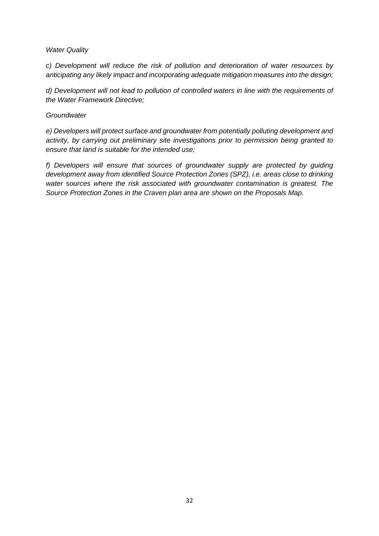#### *Water Quality*

*c) Development will reduce the risk of pollution and deterioration of water resources by anticipating any likely impact and incorporating adequate mitigation measures into the design;*

*d) Development will not lead to pollution of controlled waters in line with the requirements of the Water Framework Directive;*

#### *Groundwater*

*e) Developers will protect surface and groundwater from potentially polluting development and activity, by carrying out preliminary site investigations prior to permission being granted to ensure that land is suitable for the intended use;*

*f) Developers will ensure that sources of groundwater supply are protected by guiding development away from identified Source Protection Zones (SPZ), i.e. areas close to drinking water sources where the risk associated with groundwater contamination is greatest. The Source Protection Zones in the Craven plan area are shown on the Proposals Map.*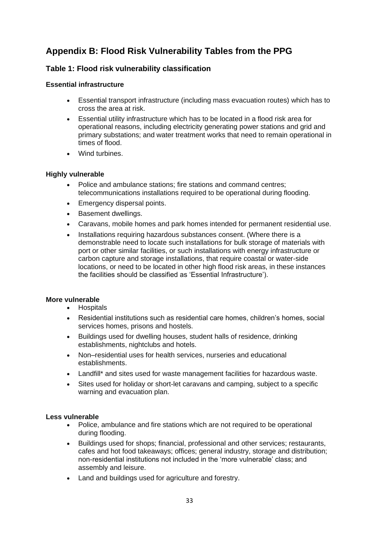# **Appendix B: Flood Risk Vulnerability Tables from the PPG**

#### **Table 1: Flood risk vulnerability classification**

#### **Essential infrastructure**

- Essential transport infrastructure (including mass evacuation routes) which has to cross the area at risk.
- Essential utility infrastructure which has to be located in a flood risk area for operational reasons, including electricity generating power stations and grid and primary substations; and water treatment works that need to remain operational in times of flood.
- Wind turbines.

#### **Highly vulnerable**

- Police and ambulance stations; fire stations and command centres; telecommunications installations required to be operational during flooding.
- Emergency dispersal points.
- Basement dwellings.
- Caravans, mobile homes and park homes intended for permanent residential use.
- Installations requiring hazardous substances consent. (Where there is a demonstrable need to locate such installations for bulk storage of materials with port or other similar facilities, or such installations with energy infrastructure or carbon capture and storage installations, that require coastal or water-side locations, or need to be located in other high flood risk areas, in these instances the facilities should be classified as 'Essential Infrastructure').

#### **More vulnerable**

- Hospitals
- Residential institutions such as residential care homes, children's homes, social services homes, prisons and hostels.
- Buildings used for dwelling houses, student halls of residence, drinking establishments, nightclubs and hotels.
- Non–residential uses for health services, nurseries and educational establishments.
- Landfill\* and sites used for waste management facilities for hazardous waste.
- Sites used for holiday or short-let caravans and camping, subject to a specific warning and evacuation plan.

#### **Less vulnerable**

- Police, ambulance and fire stations which are not required to be operational during flooding.
- Buildings used for shops; financial, professional and other services; restaurants, cafes and hot food takeaways; offices; general industry, storage and distribution; non-residential institutions not included in the 'more vulnerable' class; and assembly and leisure.
- Land and buildings used for agriculture and forestry.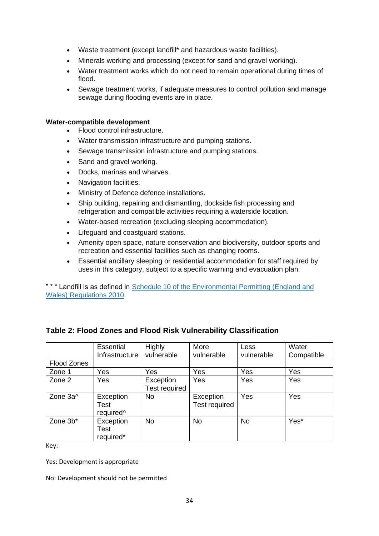- Waste treatment (except landfill\* and hazardous waste facilities).
- Minerals working and processing (except for sand and gravel working).
- Water treatment works which do not need to remain operational during times of flood.
- Sewage treatment works, if adequate measures to control pollution and manage sewage during flooding events are in place.

#### **Water-compatible development**

- Flood control infrastructure.
- Water transmission infrastructure and pumping stations.
- Sewage transmission infrastructure and pumping stations.
- Sand and gravel working.
- Docks, marinas and wharves.
- Navigation facilities.
- Ministry of Defence defence installations.
- Ship building, repairing and dismantling, dockside fish processing and refrigeration and compatible activities requiring a waterside location.
- Water-based recreation (excluding sleeping accommodation).
- Lifeguard and coastguard stations.
- Amenity open space, nature conservation and biodiversity, outdoor sports and recreation and essential facilities such as changing rooms.
- Essential ancillary sleeping or residential accommodation for staff required by uses in this category, subject to a specific warning and evacuation plan.

" \* " Landfill is as defined in [Schedule 10 of the Environmental Permitting \(England and](http://www.legislation.gov.uk/uksi/2010/675/schedule/10/made)  [Wales\) Regulations 2010.](http://www.legislation.gov.uk/uksi/2010/675/schedule/10/made)

|                      | Essential                                  | Highly                     | More                              | <b>Less</b> | Water      |
|----------------------|--------------------------------------------|----------------------------|-----------------------------------|-------------|------------|
|                      | Infrastructure                             | vulnerable                 | vulnerable                        | vulnerable  | Compatible |
| Flood Zones          |                                            |                            |                                   |             |            |
| Zone 1               | Yes                                        | Yes                        | Yes                               | Yes         | Yes        |
| Zone 2               | Yes                                        | Exception<br>Test required | Yes                               | Yes         | Yes        |
| Zone 3a <sup>^</sup> | Exception<br>Test<br>required <sup>^</sup> | No                         | Exception<br><b>Test required</b> | Yes         | Yes        |
| Zone 3b*             | Exception<br>Test<br>required*             | <b>No</b>                  | <b>No</b>                         | <b>No</b>   | Yes*       |

#### **Table 2: Flood Zones and Flood Risk Vulnerability Classification**

Key:

Yes: Development is appropriate

No: Development should not be permitted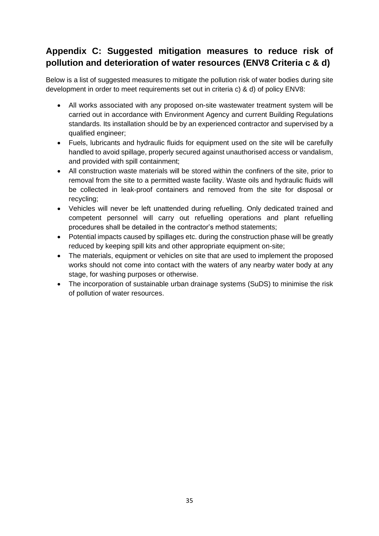# **Appendix C: Suggested mitigation measures to reduce risk of pollution and deterioration of water resources (ENV8 Criteria c & d)**

Below is a list of suggested measures to mitigate the pollution risk of water bodies during site development in order to meet requirements set out in criteria c) & d) of policy ENV8:

- All works associated with any proposed on-site wastewater treatment system will be carried out in accordance with Environment Agency and current Building Regulations standards. Its installation should be by an experienced contractor and supervised by a qualified engineer;
- Fuels, lubricants and hydraulic fluids for equipment used on the site will be carefully handled to avoid spillage, properly secured against unauthorised access or vandalism, and provided with spill containment;
- All construction waste materials will be stored within the confiners of the site, prior to removal from the site to a permitted waste facility. Waste oils and hydraulic fluids will be collected in leak-proof containers and removed from the site for disposal or recycling;
- Vehicles will never be left unattended during refuelling. Only dedicated trained and competent personnel will carry out refuelling operations and plant refuelling procedures shall be detailed in the contractor's method statements;
- Potential impacts caused by spillages etc. during the construction phase will be greatly reduced by keeping spill kits and other appropriate equipment on-site;
- The materials, equipment or vehicles on site that are used to implement the proposed works should not come into contact with the waters of any nearby water body at any stage, for washing purposes or otherwise.
- The incorporation of sustainable urban drainage systems (SuDS) to minimise the risk of pollution of water resources.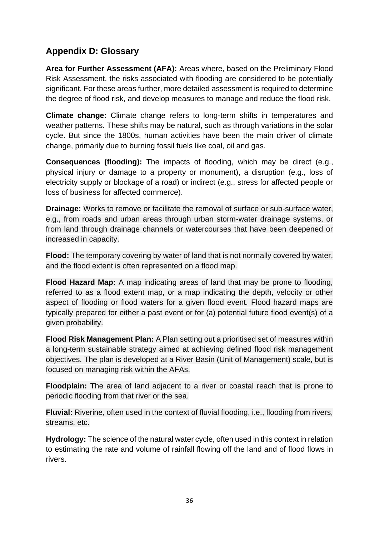# **Appendix D: Glossary**

**Area for Further Assessment (AFA):** Areas where, based on the Preliminary Flood Risk Assessment, the risks associated with flooding are considered to be potentially significant. For these areas further, more detailed assessment is required to determine the degree of flood risk, and develop measures to manage and reduce the flood risk.

**Climate change:** Climate change refers to long-term shifts in temperatures and weather patterns. These shifts may be natural, such as through variations in the solar cycle. But since the 1800s, human activities have been the main driver of climate change, primarily due to burning fossil fuels like coal, oil and gas.

**Consequences (flooding):** The impacts of flooding, which may be direct (e.g., physical injury or damage to a property or monument), a disruption (e.g., loss of electricity supply or blockage of a road) or indirect (e.g., stress for affected people or loss of business for affected commerce).

**Drainage:** Works to remove or facilitate the removal of surface or sub-surface water. e.g., from roads and urban areas through urban storm-water drainage systems, or from land through drainage channels or watercourses that have been deepened or increased in capacity.

**Flood:** The temporary covering by water of land that is not normally covered by water, and the flood extent is often represented on a flood map.

**Flood Hazard Map:** A map indicating areas of land that may be prone to flooding, referred to as a flood extent map, or a map indicating the depth, velocity or other aspect of flooding or flood waters for a given flood event. Flood hazard maps are typically prepared for either a past event or for (a) potential future flood event(s) of a given probability.

**Flood Risk Management Plan:** A Plan setting out a prioritised set of measures within a long-term sustainable strategy aimed at achieving defined flood risk management objectives. The plan is developed at a River Basin (Unit of Management) scale, but is focused on managing risk within the AFAs.

**Floodplain:** The area of land adjacent to a river or coastal reach that is prone to periodic flooding from that river or the sea.

**Fluvial:** Riverine, often used in the context of fluvial flooding, i.e., flooding from rivers, streams, etc.

**Hydrology:** The science of the natural water cycle, often used in this context in relation to estimating the rate and volume of rainfall flowing off the land and of flood flows in rivers.